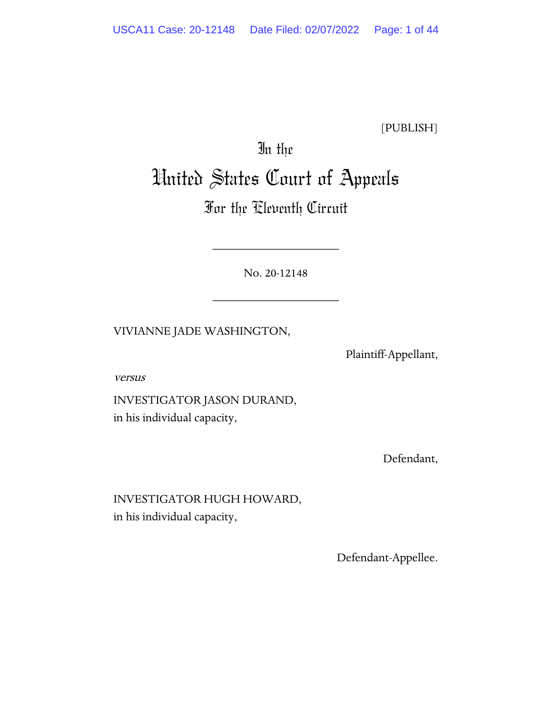[PUBLISH]

# In the United States Court of Appeals

## For the Eleventh Circuit

No. 20-12148

\_\_\_\_\_\_\_\_\_\_\_\_\_\_\_\_\_\_\_\_

\_\_\_\_\_\_\_\_\_\_\_\_\_\_\_\_\_\_\_\_

VIVIANNE JADE WASHINGTON,

Plaintiff-Appellant,

versus

INVESTIGATOR JASON DURAND, in his individual capacity,

Defendant,

INVESTIGATOR HUGH HOWARD, in his individual capacity,

Defendant-Appellee.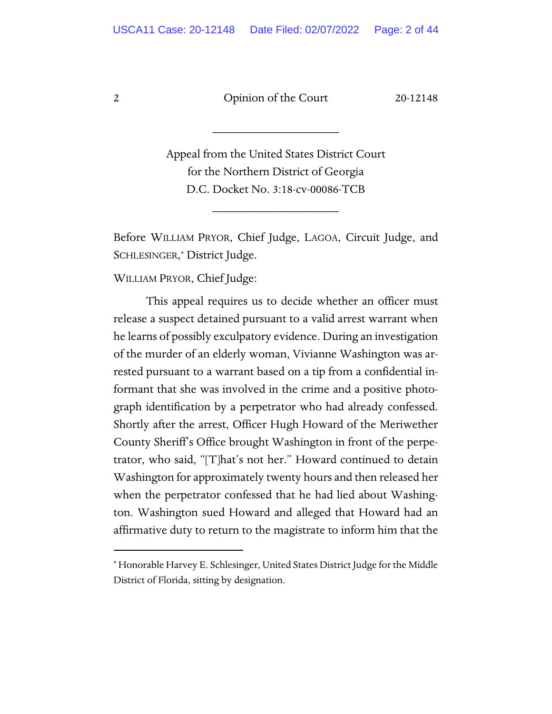\_\_\_\_\_\_\_\_\_\_\_\_\_\_\_\_\_\_\_\_

Appeal from the United States District Court for the Northern District of Georgia D.C. Docket No. 3:18-cv-00086-TCB

\_\_\_\_\_\_\_\_\_\_\_\_\_\_\_\_\_\_\_\_

Before WILLIAM PRYOR, Chief Judge, LAGOA, Circuit Judge, and SCHLESINGER,[\\*](#page-1-0) District Judge.

WILLIAM PRYOR, Chief Judge:

This appeal requires us to decide whether an officer must release a suspect detained pursuant to a valid arrest warrant when he learns of possibly exculpatory evidence. During an investigation of the murder of an elderly woman, Vivianne Washington was arrested pursuant to a warrant based on a tip from a confidential informant that she was involved in the crime and a positive photograph identification by a perpetrator who had already confessed. Shortly after the arrest, Officer Hugh Howard of the Meriwether County Sheriff's Office brought Washington in front of the perpetrator, who said, "[T]hat's not her." Howard continued to detain Washington for approximately twenty hours and then released her when the perpetrator confessed that he had lied about Washington. Washington sued Howard and alleged that Howard had an affirmative duty to return to the magistrate to inform him that the

<span id="page-1-0"></span><sup>\*</sup> Honorable Harvey E. Schlesinger, United States District Judge for the Middle District of Florida, sitting by designation.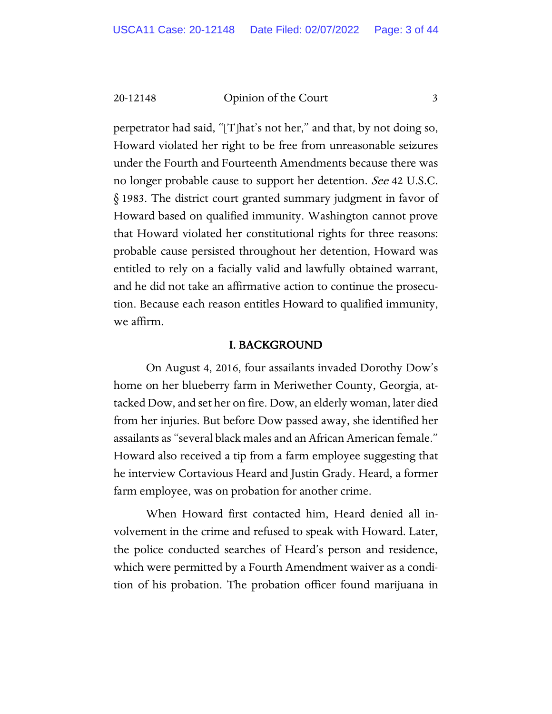perpetrator had said, "[T]hat's not her," and that, by not doing so, Howard violated her right to be free from unreasonable seizures under the Fourth and Fourteenth Amendments because there was no longer probable cause to support her detention. See 42 U.S.C. § 1983. The district court granted summary judgment in favor of Howard based on qualified immunity. Washington cannot prove that Howard violated her constitutional rights for three reasons: probable cause persisted throughout her detention, Howard was entitled to rely on a facially valid and lawfully obtained warrant, and he did not take an affirmative action to continue the prosecution. Because each reason entitles Howard to qualified immunity, we affirm.

#### I. BACKGROUND

On August 4, 2016, four assailants invaded Dorothy Dow's home on her blueberry farm in Meriwether County, Georgia, attacked Dow, and set her on fire. Dow, an elderly woman, later died from her injuries. But before Dow passed away, she identified her assailants as "several black males and an African American female." Howard also received a tip from a farm employee suggesting that he interview Cortavious Heard and Justin Grady. Heard, a former farm employee, was on probation for another crime.

When Howard first contacted him, Heard denied all involvement in the crime and refused to speak with Howard. Later, the police conducted searches of Heard's person and residence, which were permitted by a Fourth Amendment waiver as a condition of his probation. The probation officer found marijuana in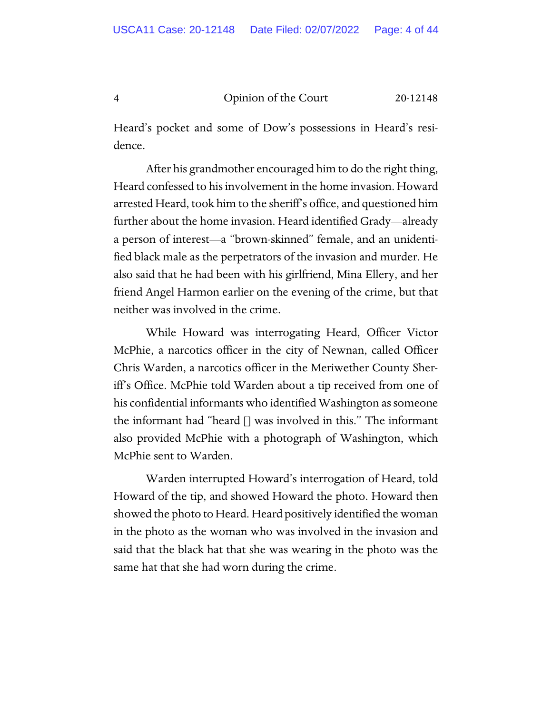Heard's pocket and some of Dow's possessions in Heard's residence.

After his grandmother encouraged him to do the right thing, Heard confessed to his involvement in the home invasion. Howard arrested Heard, took him to the sheriff's office, and questioned him further about the home invasion. Heard identified Grady—already a person of interest—a "brown-skinned" female, and an unidentified black male as the perpetrators of the invasion and murder. He also said that he had been with his girlfriend, Mina Ellery, and her friend Angel Harmon earlier on the evening of the crime, but that neither was involved in the crime.

While Howard was interrogating Heard, Officer Victor McPhie, a narcotics officer in the city of Newnan, called Officer Chris Warden, a narcotics officer in the Meriwether County Sheriff's Office. McPhie told Warden about a tip received from one of his confidential informants who identified Washington as someone the informant had "heard [] was involved in this." The informant also provided McPhie with a photograph of Washington, which McPhie sent to Warden.

Warden interrupted Howard's interrogation of Heard, told Howard of the tip, and showed Howard the photo. Howard then showed the photo to Heard. Heard positively identified the woman in the photo as the woman who was involved in the invasion and said that the black hat that she was wearing in the photo was the same hat that she had worn during the crime.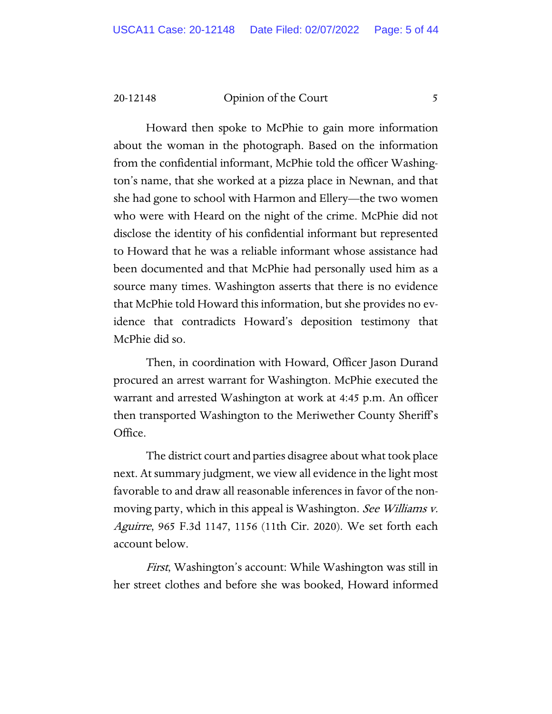Howard then spoke to McPhie to gain more information about the woman in the photograph. Based on the information from the confidential informant, McPhie told the officer Washington's name, that she worked at a pizza place in Newnan, and that she had gone to school with Harmon and Ellery—the two women who were with Heard on the night of the crime. McPhie did not disclose the identity of his confidential informant but represented to Howard that he was a reliable informant whose assistance had been documented and that McPhie had personally used him as a source many times. Washington asserts that there is no evidence that McPhie told Howard this information, but she provides no evidence that contradicts Howard's deposition testimony that McPhie did so.

Then, in coordination with Howard, Officer Jason Durand procured an arrest warrant for Washington. McPhie executed the warrant and arrested Washington at work at 4:45 p.m. An officer then transported Washington to the Meriwether County Sheriff's Office.

The district court and parties disagree about what took place next. At summary judgment, we view all evidence in the light most favorable to and draw all reasonable inferences in favor of the nonmoving party, which in this appeal is Washington. See Williams v. Aguirre, 965 F.3d 1147, 1156 (11th Cir. 2020). We set forth each account below.

First, Washington's account: While Washington was still in her street clothes and before she was booked, Howard informed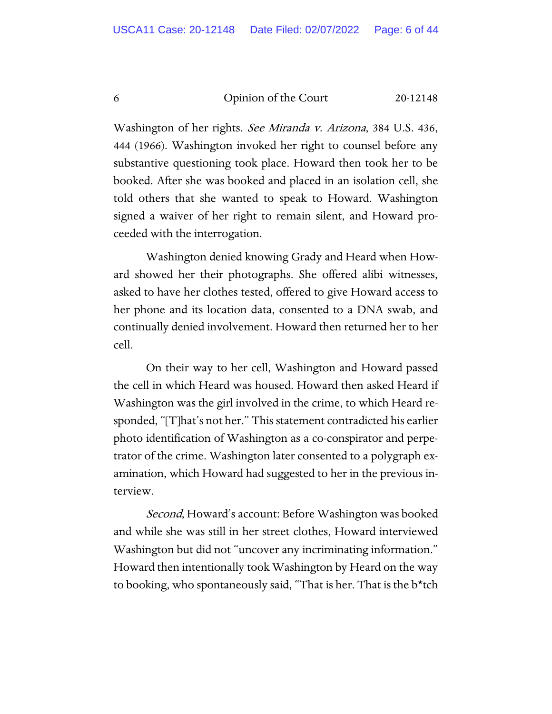Washington of her rights. See Miranda v. Arizona, 384 U.S. 436, 444 (1966). Washington invoked her right to counsel before any substantive questioning took place. Howard then took her to be booked. After she was booked and placed in an isolation cell, she told others that she wanted to speak to Howard. Washington signed a waiver of her right to remain silent, and Howard proceeded with the interrogation.

Washington denied knowing Grady and Heard when Howard showed her their photographs. She offered alibi witnesses, asked to have her clothes tested, offered to give Howard access to her phone and its location data, consented to a DNA swab, and continually denied involvement. Howard then returned her to her cell.

On their way to her cell, Washington and Howard passed the cell in which Heard was housed. Howard then asked Heard if Washington was the girl involved in the crime, to which Heard responded, "[T]hat's not her." This statement contradicted his earlier photo identification of Washington as a co-conspirator and perpetrator of the crime. Washington later consented to a polygraph examination, which Howard had suggested to her in the previous interview.

*Second*, Howard's account: Before Washington was booked and while she was still in her street clothes, Howard interviewed Washington but did not "uncover any incriminating information." Howard then intentionally took Washington by Heard on the way to booking, who spontaneously said, "That is her. That is the b\*tch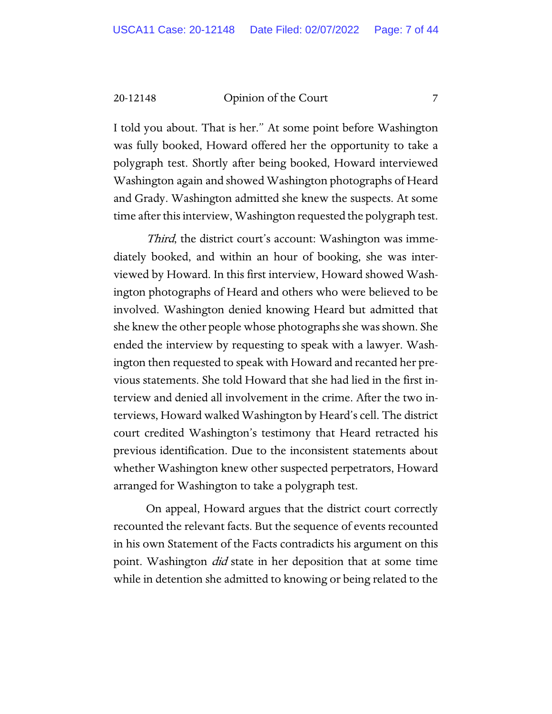I told you about. That is her." At some point before Washington was fully booked, Howard offered her the opportunity to take a polygraph test. Shortly after being booked, Howard interviewed Washington again and showed Washington photographs of Heard and Grady. Washington admitted she knew the suspects. At some time after this interview, Washington requested the polygraph test.

Third, the district court's account: Washington was immediately booked, and within an hour of booking, she was interviewed by Howard. In this first interview, Howard showed Washington photographs of Heard and others who were believed to be involved. Washington denied knowing Heard but admitted that she knew the other people whose photographs she was shown. She ended the interview by requesting to speak with a lawyer. Washington then requested to speak with Howard and recanted her previous statements. She told Howard that she had lied in the first interview and denied all involvement in the crime. After the two interviews, Howard walked Washington by Heard's cell. The district court credited Washington's testimony that Heard retracted his previous identification. Due to the inconsistent statements about whether Washington knew other suspected perpetrators, Howard arranged for Washington to take a polygraph test.

On appeal, Howard argues that the district court correctly recounted the relevant facts. But the sequence of events recounted in his own Statement of the Facts contradicts his argument on this point. Washington *did* state in her deposition that at some time while in detention she admitted to knowing or being related to the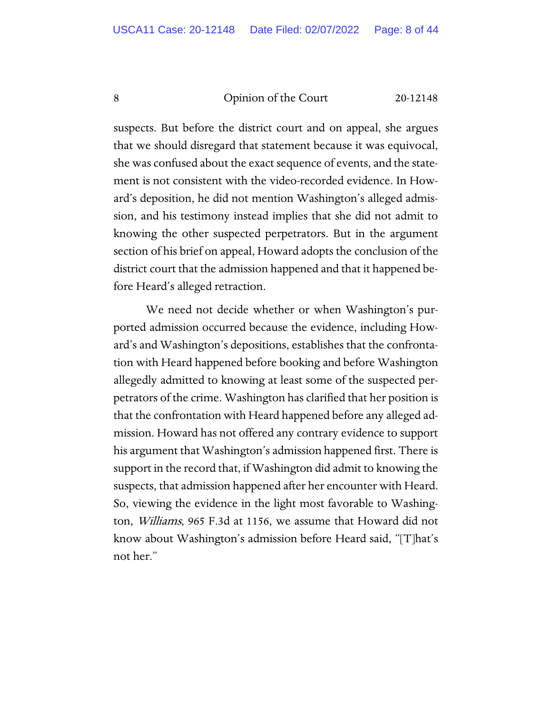suspects. But before the district court and on appeal, she argues that we should disregard that statement because it was equivocal, she was confused about the exact sequence of events, and the statement is not consistent with the video-recorded evidence. In Howard's deposition, he did not mention Washington's alleged admission, and his testimony instead implies that she did not admit to knowing the other suspected perpetrators. But in the argument section of his brief on appeal, Howard adopts the conclusion of the district court that the admission happened and that it happened before Heard's alleged retraction.

We need not decide whether or when Washington's purported admission occurred because the evidence, including Howard's and Washington's depositions, establishes that the confrontation with Heard happened before booking and before Washington allegedly admitted to knowing at least some of the suspected perpetrators of the crime. Washington has clarified that her position is that the confrontation with Heard happened before any alleged admission. Howard has not offered any contrary evidence to support his argument that Washington's admission happened first. There is support in the record that, if Washington did admit to knowing the suspects, that admission happened after her encounter with Heard. So, viewing the evidence in the light most favorable to Washington, Williams, 965 F.3d at 1156, we assume that Howard did not know about Washington's admission before Heard said, "[T]hat's not her."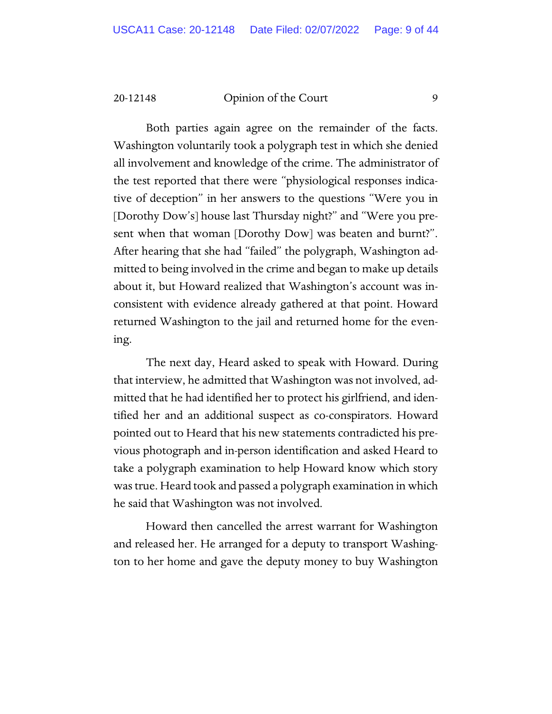Both parties again agree on the remainder of the facts. Washington voluntarily took a polygraph test in which she denied all involvement and knowledge of the crime. The administrator of the test reported that there were "physiological responses indicative of deception" in her answers to the questions "Were you in [Dorothy Dow's] house last Thursday night?" and "Were you present when that woman [Dorothy Dow] was beaten and burnt?". After hearing that she had "failed" the polygraph, Washington admitted to being involved in the crime and began to make up details about it, but Howard realized that Washington's account was inconsistent with evidence already gathered at that point. Howard returned Washington to the jail and returned home for the evening.

The next day, Heard asked to speak with Howard. During that interview, he admitted that Washington was not involved, admitted that he had identified her to protect his girlfriend, and identified her and an additional suspect as co-conspirators. Howard pointed out to Heard that his new statements contradicted his previous photograph and in-person identification and asked Heard to take a polygraph examination to help Howard know which story was true. Heard took and passed a polygraph examination in which he said that Washington was not involved.

Howard then cancelled the arrest warrant for Washington and released her. He arranged for a deputy to transport Washington to her home and gave the deputy money to buy Washington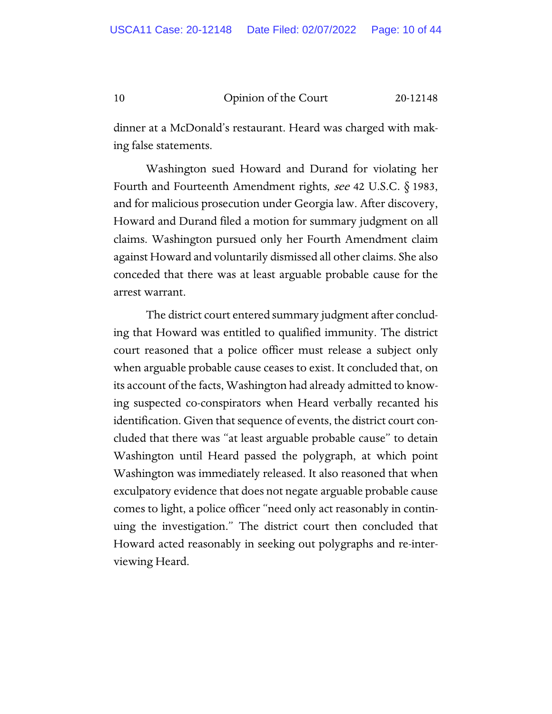dinner at a McDonald's restaurant. Heard was charged with making false statements.

Washington sued Howard and Durand for violating her Fourth and Fourteenth Amendment rights, see 42 U.S.C.  $\S$  1983, and for malicious prosecution under Georgia law. After discovery, Howard and Durand filed a motion for summary judgment on all claims. Washington pursued only her Fourth Amendment claim against Howard and voluntarily dismissed all other claims. She also conceded that there was at least arguable probable cause for the arrest warrant.

The district court entered summary judgment after concluding that Howard was entitled to qualified immunity. The district court reasoned that a police officer must release a subject only when arguable probable cause ceases to exist. It concluded that, on its account of the facts, Washington had already admitted to knowing suspected co-conspirators when Heard verbally recanted his identification. Given that sequence of events, the district court concluded that there was "at least arguable probable cause" to detain Washington until Heard passed the polygraph, at which point Washington was immediately released. It also reasoned that when exculpatory evidence that does not negate arguable probable cause comes to light, a police officer "need only act reasonably in continuing the investigation." The district court then concluded that Howard acted reasonably in seeking out polygraphs and re-interviewing Heard.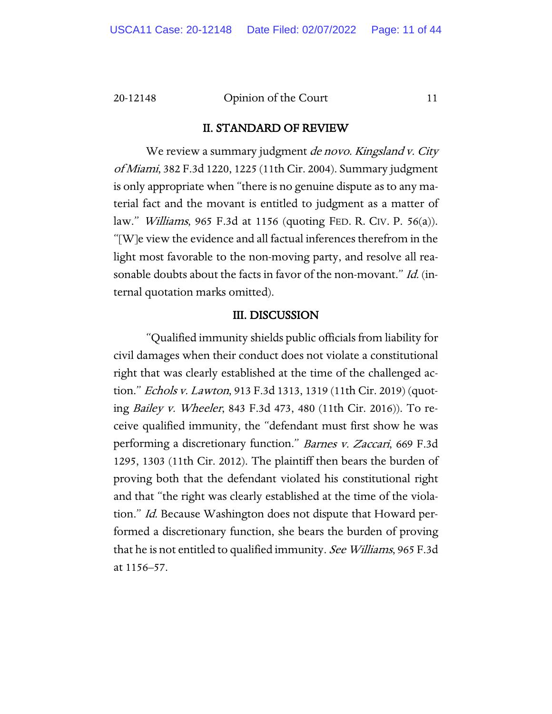#### II. STANDARD OF REVIEW

We review a summary judgment *de novo. Kingsland v. City* of Miami, 382 F.3d 1220, 1225 (11th Cir. 2004). Summary judgment is only appropriate when "there is no genuine dispute as to any material fact and the movant is entitled to judgment as a matter of law." Williams, 965 F.3d at 1156 (quoting FED. R. CIV. P. 56(a)). "[W]e view the evidence and all factual inferences therefrom in the light most favorable to the non-moving party, and resolve all reasonable doubts about the facts in favor of the non-movant." Id. (internal quotation marks omitted).

#### III. DISCUSSION

"Qualified immunity shields public officials from liability for civil damages when their conduct does not violate a constitutional right that was clearly established at the time of the challenged action." Echols v. Lawton, 913 F.3d 1313, 1319 (11th Cir. 2019) (quoting Bailey v. Wheeler, 843 F.3d 473, 480 (11th Cir. 2016)). To receive qualified immunity, the "defendant must first show he was performing a discretionary function." Barnes v. Zaccari, 669 F.3d 1295, 1303 (11th Cir. 2012). The plaintiff then bears the burden of proving both that the defendant violated his constitutional right and that "the right was clearly established at the time of the violation." *Id.* Because Washington does not dispute that Howard performed a discretionary function, she bears the burden of proving that he is not entitled to qualified immunity. See Williams, 965 F.3d at 1156–57.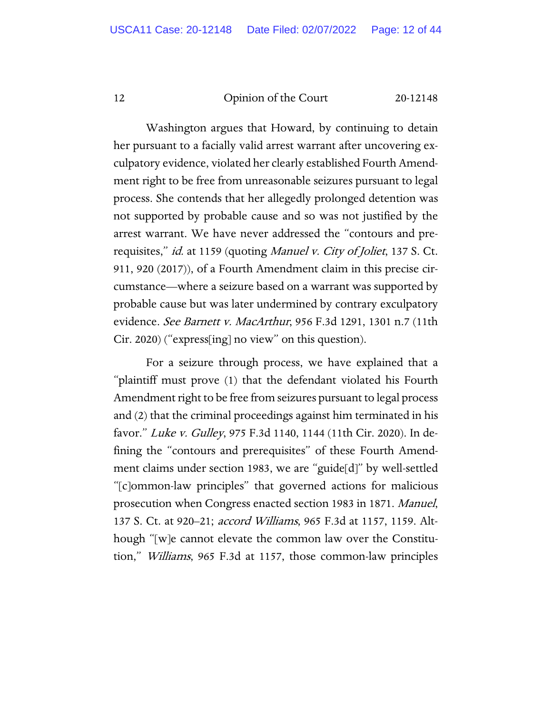Washington argues that Howard, by continuing to detain her pursuant to a facially valid arrest warrant after uncovering exculpatory evidence, violated her clearly established Fourth Amendment right to be free from unreasonable seizures pursuant to legal process. She contends that her allegedly prolonged detention was not supported by probable cause and so was not justified by the arrest warrant. We have never addressed the "contours and prerequisites," id. at 1159 (quoting Manuel v. City of Joliet, 137 S. Ct. 911, 920 (2017)), of a Fourth Amendment claim in this precise circumstance—where a seizure based on a warrant was supported by probable cause but was later undermined by contrary exculpatory evidence. See Barnett v. MacArthur, 956 F.3d 1291, 1301 n.7 (11th Cir. 2020) ("express[ing] no view" on this question).

For a seizure through process, we have explained that a "plaintiff must prove (1) that the defendant violated his Fourth Amendment right to be free from seizures pursuant to legal process and (2) that the criminal proceedings against him terminated in his favor." Luke v. Gulley, 975 F.3d 1140, 1144 (11th Cir. 2020). In defining the "contours and prerequisites" of these Fourth Amendment claims under section 1983, we are "guide[d]" by well-settled "[c]ommon-law principles" that governed actions for malicious prosecution when Congress enacted section 1983 in 1871. Manuel, 137 S. Ct. at 920–21; accord Williams, 965 F.3d at 1157, 1159. Although "[w]e cannot elevate the common law over the Constitution," Williams, 965 F.3d at 1157, those common-law principles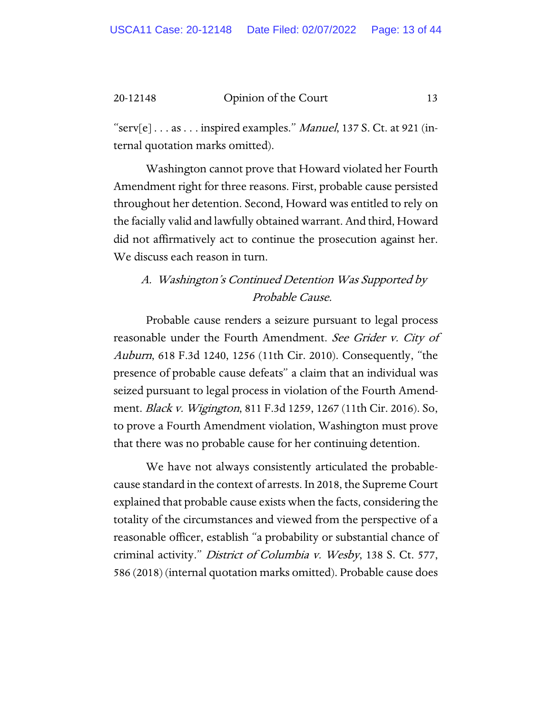" $\text{serv}[e] \ldots \text{as} \ldots \text{inspired examples." } \textit{Manuel}, 137 \text{ S. Ct. at 921 (in-1) }$ ternal quotation marks omitted).

Washington cannot prove that Howard violated her Fourth Amendment right for three reasons. First, probable cause persisted throughout her detention. Second, Howard was entitled to rely on the facially valid and lawfully obtained warrant. And third, Howard did not affirmatively act to continue the prosecution against her. We discuss each reason in turn.

## A. Washington's Continued Detention Was Supported by Probable Cause.

Probable cause renders a seizure pursuant to legal process reasonable under the Fourth Amendment. See Grider v. City of Auburn, 618 F.3d 1240, 1256 (11th Cir. 2010). Consequently, "the presence of probable cause defeats" a claim that an individual was seized pursuant to legal process in violation of the Fourth Amendment. Black v. Wigington, 811 F.3d 1259, 1267 (11th Cir. 2016). So, to prove a Fourth Amendment violation, Washington must prove that there was no probable cause for her continuing detention.

We have not always consistently articulated the probablecause standard in the context of arrests. In 2018, the Supreme Court explained that probable cause exists when the facts, considering the totality of the circumstances and viewed from the perspective of a reasonable officer, establish "a probability or substantial chance of criminal activity." District of Columbia v. Wesby, 138 S. Ct. 577, 586 (2018) (internal quotation marks omitted). Probable cause does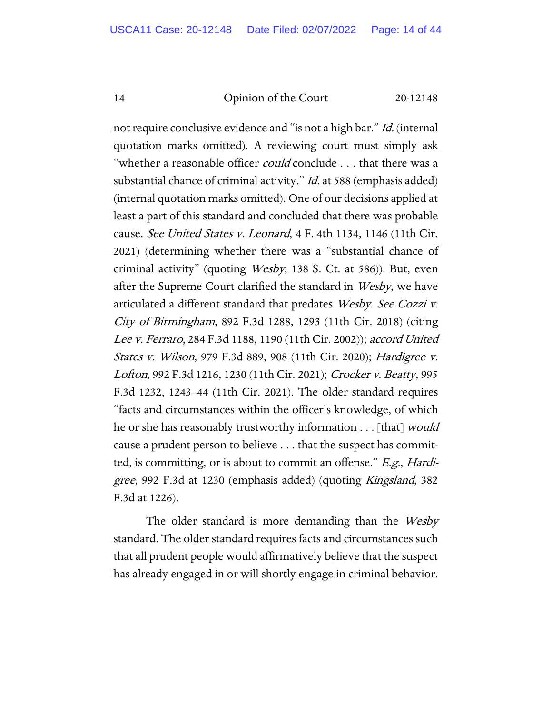not require conclusive evidence and "is not a high bar." Id. (internal quotation marks omitted). A reviewing court must simply ask "whether a reasonable officer *could* conclude . . . that there was a substantial chance of criminal activity." *Id.* at 588 (emphasis added) (internal quotation marks omitted). One of our decisions applied at least a part of this standard and concluded that there was probable cause. See United States v. Leonard, 4 F. 4th 1134, 1146 (11th Cir. 2021) (determining whether there was a "substantial chance of criminal activity" (quoting Wesby, 138 S. Ct. at 586)). But, even after the Supreme Court clarified the standard in Wesby, we have articulated a different standard that predates Wesby. See Cozzi v. City of Birmingham, 892 F.3d 1288, 1293 (11th Cir. 2018) (citing Lee v. Ferraro, 284 F.3d 1188, 1190 (11th Cir. 2002)); accord United States v. Wilson, 979 F.3d 889, 908 (11th Cir. 2020); Hardigree v. Lofton, 992 F.3d 1216, 1230 (11th Cir. 2021); Crocker v. Beatty, 995 F.3d 1232, 1243–44 (11th Cir. 2021). The older standard requires "facts and circumstances within the officer's knowledge, of which he or she has reasonably trustworthy information . . . [that] *would* cause a prudent person to believe . . . that the suspect has committed, is committing, or is about to commit an offense." E.g., Hardigree, 992 F.3d at 1230 (emphasis added) (quoting Kingsland, 382 F.3d at 1226).

The older standard is more demanding than the *Wesby* standard. The older standard requires facts and circumstances such that all prudent people would affirmatively believe that the suspect has already engaged in or will shortly engage in criminal behavior.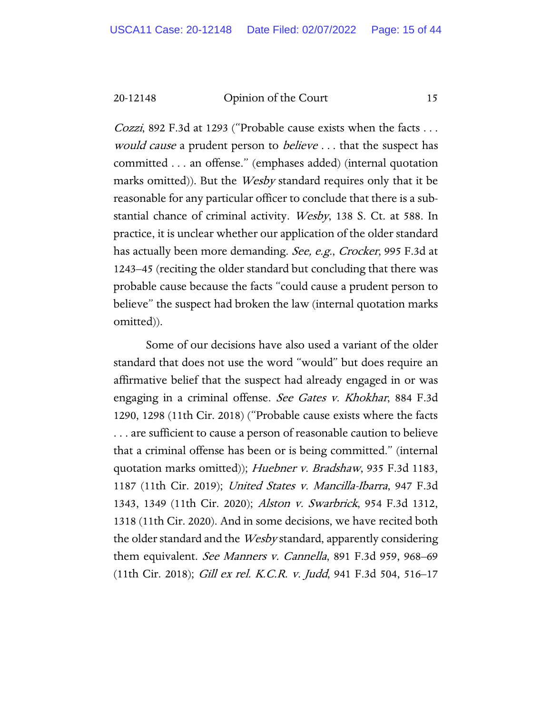Cozzi, 892 F.3d at 1293 ("Probable cause exists when the facts . . . would cause a prudent person to *believe* ... that the suspect has committed . . . an offense." (emphases added) (internal quotation marks omitted)). But the *Wesby* standard requires only that it be reasonable for any particular officer to conclude that there is a substantial chance of criminal activity. Wesby, 138 S. Ct. at 588. In practice, it is unclear whether our application of the older standard has actually been more demanding. See, e.g., Crocker, 995 F.3d at 1243–45 (reciting the older standard but concluding that there was probable cause because the facts "could cause a prudent person to believe" the suspect had broken the law (internal quotation marks omitted)).

Some of our decisions have also used a variant of the older standard that does not use the word "would" but does require an affirmative belief that the suspect had already engaged in or was engaging in a criminal offense. See Gates v. Khokhar, 884 F.3d 1290, 1298 (11th Cir. 2018) ("Probable cause exists where the facts . . . are sufficient to cause a person of reasonable caution to believe that a criminal offense has been or is being committed." (internal quotation marks omitted)); Huebner v. Bradshaw, 935 F.3d 1183, 1187 (11th Cir. 2019); United States v. Mancilla-Ibarra, 947 F.3d 1343, 1349 (11th Cir. 2020); Alston v. Swarbrick, 954 F.3d 1312, 1318 (11th Cir. 2020). And in some decisions, we have recited both the older standard and the *Wesby* standard, apparently considering them equivalent. See Manners v. Cannella, 891 F.3d 959, 968–69 (11th Cir. 2018); Gill ex rel. K.C.R. v. Judd, 941 F.3d 504, 516–17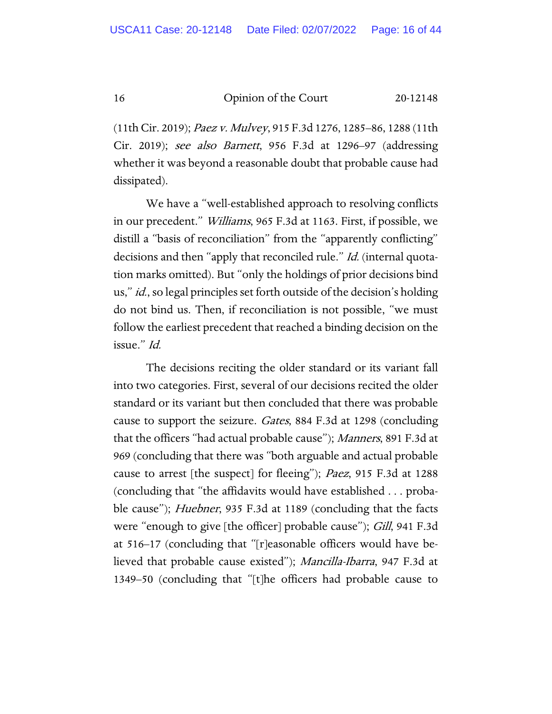(11th Cir. 2019); Paez v. Mulvey, 915 F.3d 1276, 1285–86, 1288 (11th Cir. 2019); see also Barnett, 956 F.3d at 1296–97 (addressing whether it was beyond a reasonable doubt that probable cause had dissipated).

We have a "well-established approach to resolving conflicts in our precedent." Williams, 965 F.3d at 1163. First, if possible, we distill a "basis of reconciliation" from the "apparently conflicting" decisions and then "apply that reconciled rule." *Id.* (internal quotation marks omitted). But "only the holdings of prior decisions bind us," id., so legal principles set forth outside of the decision's holding do not bind us. Then, if reconciliation is not possible, "we must follow the earliest precedent that reached a binding decision on the issue." Id.

The decisions reciting the older standard or its variant fall into two categories. First, several of our decisions recited the older standard or its variant but then concluded that there was probable cause to support the seizure. Gates, 884 F.3d at 1298 (concluding that the officers "had actual probable cause"); Manners, 891 F.3d at 969 (concluding that there was "both arguable and actual probable cause to arrest [the suspect] for fleeing"); Paez, 915 F.3d at 1288 (concluding that "the affidavits would have established . . . probable cause"); *Huebner*, 935 F.3d at 1189 (concluding that the facts were "enough to give [the officer] probable cause"); *Gill*, 941 F.3d at 516–17 (concluding that "[r]easonable officers would have believed that probable cause existed"); Mancilla-Ibarra, 947 F.3d at 1349–50 (concluding that "[t]he officers had probable cause to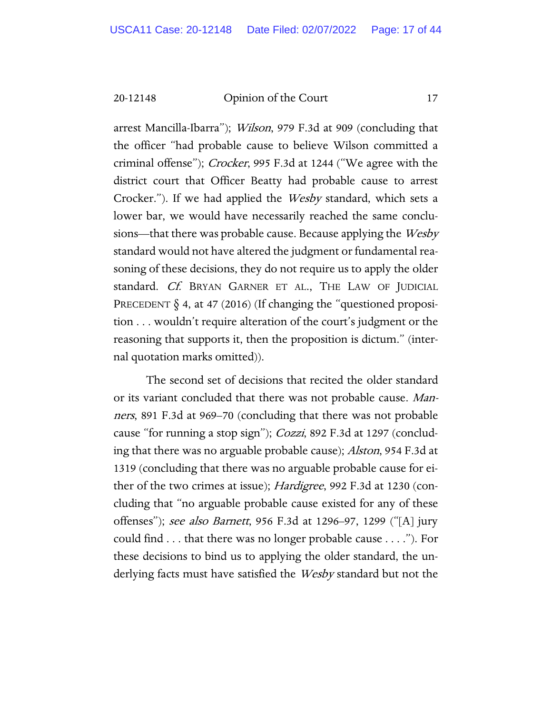arrest Mancilla-Ibarra"); *Wilson*, 979 F.3d at 909 (concluding that the officer "had probable cause to believe Wilson committed a criminal offense"); Crocker, 995 F.3d at 1244 ("We agree with the district court that Officer Beatty had probable cause to arrest Crocker."). If we had applied the *Wesby* standard, which sets a lower bar, we would have necessarily reached the same conclusions—that there was probable cause. Because applying the *Wesby* standard would not have altered the judgment or fundamental reasoning of these decisions, they do not require us to apply the older standard. Cf. BRYAN GARNER ET AL., THE LAW OF JUDICIAL PRECEDENT  $\S$  4, at 47 (2016) (If changing the "questioned proposition . . . wouldn't require alteration of the court's judgment or the reasoning that supports it, then the proposition is dictum." (internal quotation marks omitted)).

The second set of decisions that recited the older standard or its variant concluded that there was not probable cause. Manners, 891 F.3d at 969–70 (concluding that there was not probable cause "for running a stop sign"); *Cozzi*, 892 F.3d at 1297 (concluding that there was no arguable probable cause); Alston, 954 F.3d at 1319 (concluding that there was no arguable probable cause for either of the two crimes at issue); *Hardigree*, 992 F.3d at 1230 (concluding that "no arguable probable cause existed for any of these offenses"); see also Barnett, 956 F.3d at 1296–97, 1299 ("[A] jury could find . . . that there was no longer probable cause . . . ."). For these decisions to bind us to applying the older standard, the underlying facts must have satisfied the *Wesby* standard but not the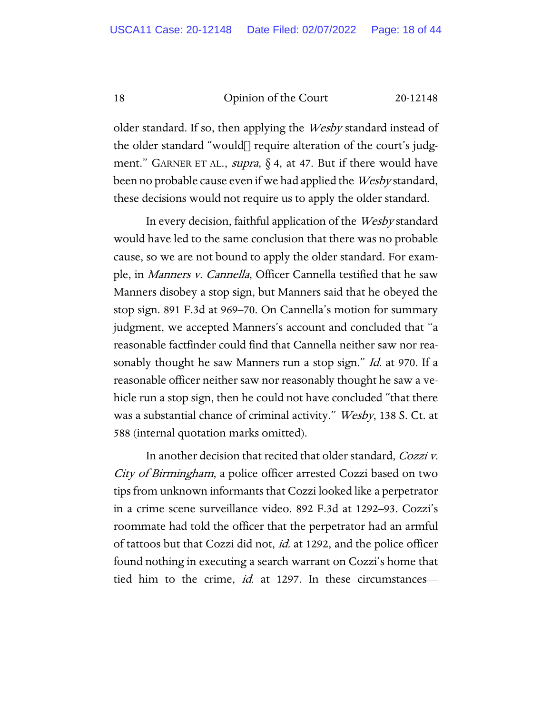older standard. If so, then applying the Wesby standard instead of the older standard "would[] require alteration of the court's judgment." GARNER ET AL., *supra*,  $\S$  4, at 47. But if there would have been no probable cause even if we had applied the *Wesby* standard, these decisions would not require us to apply the older standard.

In every decision, faithful application of the Wesby standard would have led to the same conclusion that there was no probable cause, so we are not bound to apply the older standard. For example, in Manners v. Cannella, Officer Cannella testified that he saw Manners disobey a stop sign, but Manners said that he obeyed the stop sign. 891 F.3d at 969–70. On Cannella's motion for summary judgment, we accepted Manners's account and concluded that "a reasonable factfinder could find that Cannella neither saw nor reasonably thought he saw Manners run a stop sign." Id. at 970. If a reasonable officer neither saw nor reasonably thought he saw a vehicle run a stop sign, then he could not have concluded "that there was a substantial chance of criminal activity." *Wesby*, 138 S. Ct. at 588 (internal quotation marks omitted).

In another decision that recited that older standard, Cozzi v. City of Birmingham, a police officer arrested Cozzi based on two tips from unknown informants that Cozzi looked like a perpetrator in a crime scene surveillance video. 892 F.3d at 1292–93. Cozzi's roommate had told the officer that the perpetrator had an armful of tattoos but that Cozzi did not, *id.* at 1292, and the police officer found nothing in executing a search warrant on Cozzi's home that tied him to the crime, id. at 1297. In these circumstances-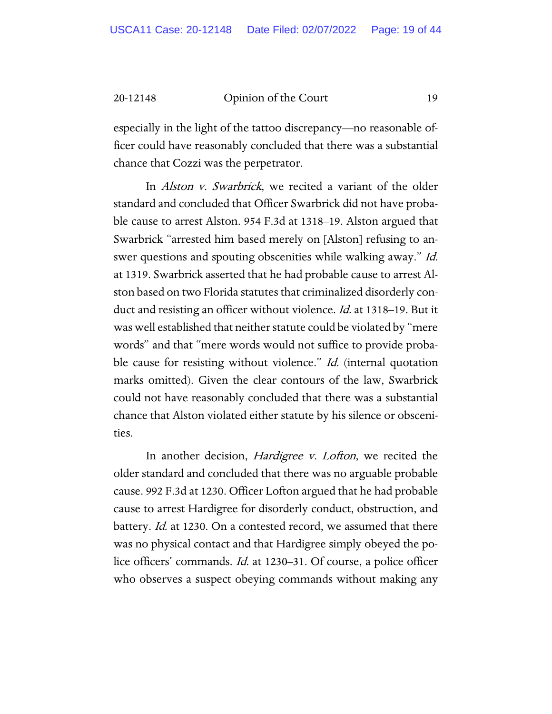especially in the light of the tattoo discrepancy—no reasonable officer could have reasonably concluded that there was a substantial chance that Cozzi was the perpetrator.

In *Alston v. Swarbrick*, we recited a variant of the older standard and concluded that Officer Swarbrick did not have probable cause to arrest Alston. 954 F.3d at 1318–19. Alston argued that Swarbrick "arrested him based merely on [Alston] refusing to answer questions and spouting obscenities while walking away." Id. at 1319. Swarbrick asserted that he had probable cause to arrest Alston based on two Florida statutes that criminalized disorderly conduct and resisting an officer without violence. *Id.* at 1318–19. But it was well established that neither statute could be violated by "mere words" and that "mere words would not suffice to provide probable cause for resisting without violence." Id. (internal quotation marks omitted). Given the clear contours of the law, Swarbrick could not have reasonably concluded that there was a substantial chance that Alston violated either statute by his silence or obscenities.

In another decision, *Hardigree v. Lofton*, we recited the older standard and concluded that there was no arguable probable cause. 992 F.3d at 1230. Officer Lofton argued that he had probable cause to arrest Hardigree for disorderly conduct, obstruction, and battery. *Id.* at 1230. On a contested record, we assumed that there was no physical contact and that Hardigree simply obeyed the police officers' commands. Id. at 1230–31. Of course, a police officer who observes a suspect obeying commands without making any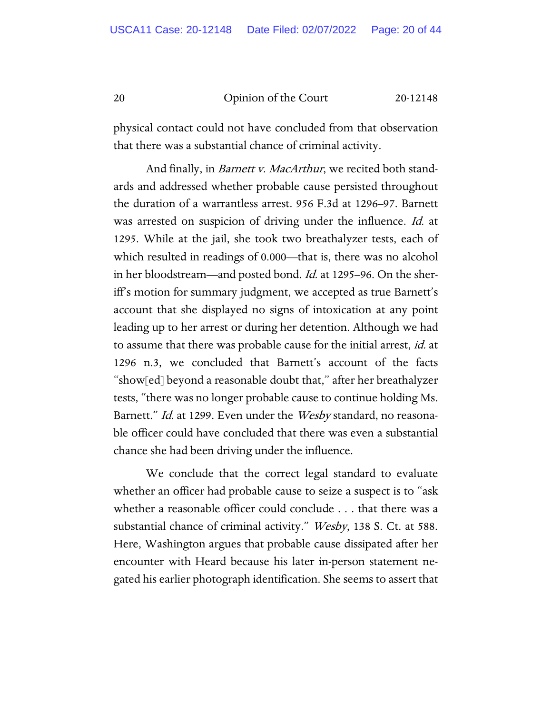physical contact could not have concluded from that observation that there was a substantial chance of criminal activity.

And finally, in *Barnett v. MacArthur*, we recited both standards and addressed whether probable cause persisted throughout the duration of a warrantless arrest. 956 F.3d at 1296–97. Barnett was arrested on suspicion of driving under the influence. *Id.* at 1295. While at the jail, she took two breathalyzer tests, each of which resulted in readings of 0.000—that is, there was no alcohol in her bloodstream—and posted bond. *Id.* at 1295–96. On the sheriff's motion for summary judgment, we accepted as true Barnett's account that she displayed no signs of intoxication at any point leading up to her arrest or during her detention. Although we had to assume that there was probable cause for the initial arrest, id. at 1296 n.3, we concluded that Barnett's account of the facts "show[ed] beyond a reasonable doubt that," after her breathalyzer tests, "there was no longer probable cause to continue holding Ms. Barnett." *Id.* at 1299. Even under the *Wesby* standard, no reasonable officer could have concluded that there was even a substantial chance she had been driving under the influence.

We conclude that the correct legal standard to evaluate whether an officer had probable cause to seize a suspect is to "ask whether a reasonable officer could conclude . . . that there was a substantial chance of criminal activity." *Wesby*, 138 S. Ct. at 588. Here, Washington argues that probable cause dissipated after her encounter with Heard because his later in-person statement negated his earlier photograph identification. She seems to assert that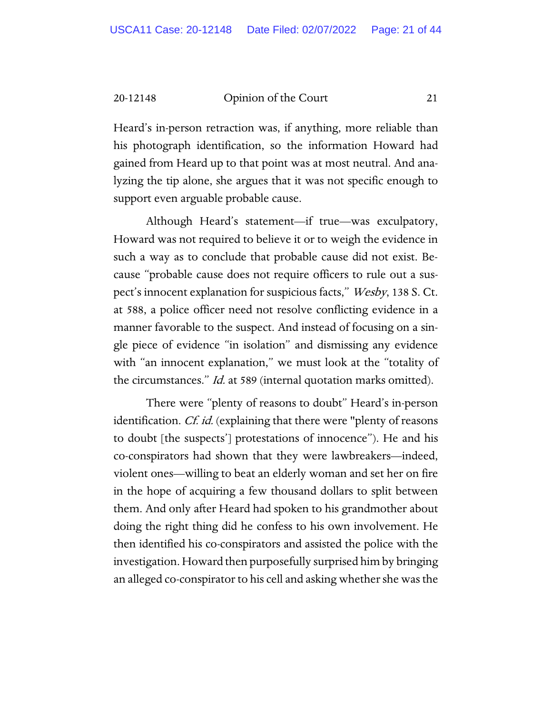Heard's in-person retraction was, if anything, more reliable than his photograph identification, so the information Howard had gained from Heard up to that point was at most neutral. And analyzing the tip alone, she argues that it was not specific enough to support even arguable probable cause.

Although Heard's statement—if true—was exculpatory, Howard was not required to believe it or to weigh the evidence in such a way as to conclude that probable cause did not exist. Because "probable cause does not require officers to rule out a suspect's innocent explanation for suspicious facts," Wesby, 138 S. Ct. at 588, a police officer need not resolve conflicting evidence in a manner favorable to the suspect. And instead of focusing on a single piece of evidence "in isolation" and dismissing any evidence with "an innocent explanation," we must look at the "totality of the circumstances." Id. at 589 (internal quotation marks omitted).

There were "plenty of reasons to doubt" Heard's in-person identification. *Cf. id.* (explaining that there were "plenty of reasons to doubt [the suspects'] protestations of innocence"). He and his co-conspirators had shown that they were lawbreakers—indeed, violent ones—willing to beat an elderly woman and set her on fire in the hope of acquiring a few thousand dollars to split between them. And only after Heard had spoken to his grandmother about doing the right thing did he confess to his own involvement. He then identified his co-conspirators and assisted the police with the investigation. Howard then purposefully surprised him by bringing an alleged co-conspirator to his cell and asking whether she was the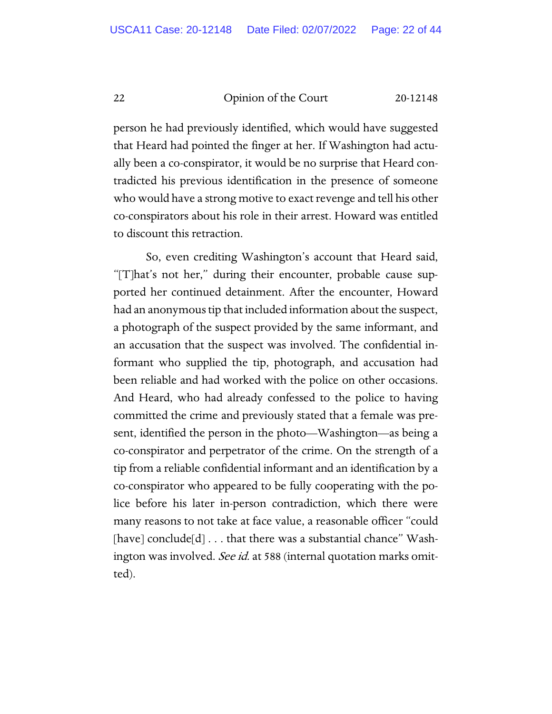person he had previously identified, which would have suggested that Heard had pointed the finger at her. If Washington had actually been a co-conspirator, it would be no surprise that Heard contradicted his previous identification in the presence of someone who would have a strong motive to exact revenge and tell his other co-conspirators about his role in their arrest. Howard was entitled to discount this retraction.

So, even crediting Washington's account that Heard said, "[T]hat's not her," during their encounter, probable cause supported her continued detainment. After the encounter, Howard had an anonymous tip that included information about the suspect, a photograph of the suspect provided by the same informant, and an accusation that the suspect was involved. The confidential informant who supplied the tip, photograph, and accusation had been reliable and had worked with the police on other occasions. And Heard, who had already confessed to the police to having committed the crime and previously stated that a female was present, identified the person in the photo—Washington—as being a co-conspirator and perpetrator of the crime. On the strength of a tip from a reliable confidential informant and an identification by a co-conspirator who appeared to be fully cooperating with the police before his later in-person contradiction, which there were many reasons to not take at face value, a reasonable officer "could [have] conclude[d] . . . that there was a substantial chance" Washington was involved. See id. at 588 (internal quotation marks omitted).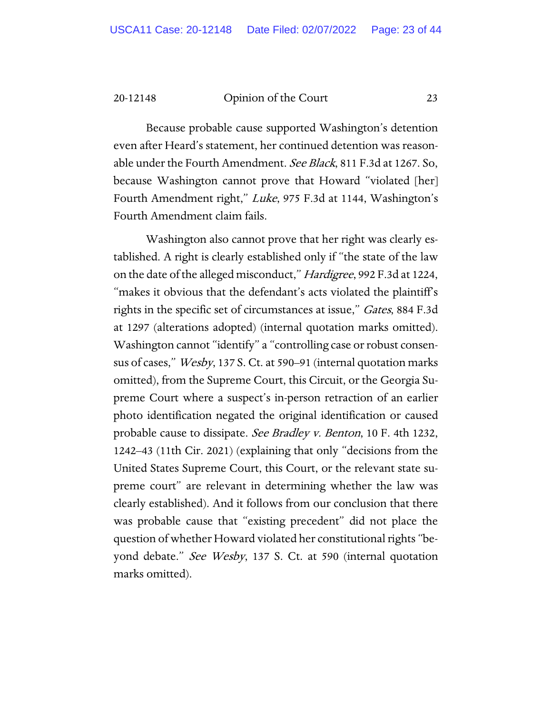Because probable cause supported Washington's detention even after Heard's statement, her continued detention was reasonable under the Fourth Amendment. See Black, 811 F.3d at 1267. So, because Washington cannot prove that Howard "violated [her] Fourth Amendment right," Luke, 975 F.3d at 1144, Washington's Fourth Amendment claim fails.

Washington also cannot prove that her right was clearly established. A right is clearly established only if "the state of the law on the date of the alleged misconduct," Hardigree, 992 F.3d at 1224, "makes it obvious that the defendant's acts violated the plaintiff's rights in the specific set of circumstances at issue," Gates, 884 F.3d at 1297 (alterations adopted) (internal quotation marks omitted). Washington cannot "identify" a "controlling case or robust consensus of cases," *Wesby*, 137 S. Ct. at 590–91 (internal quotation marks omitted), from the Supreme Court, this Circuit, or the Georgia Supreme Court where a suspect's in-person retraction of an earlier photo identification negated the original identification or caused probable cause to dissipate. See Bradley v. Benton, 10 F. 4th 1232, 1242–43 (11th Cir. 2021) (explaining that only "decisions from the United States Supreme Court, this Court, or the relevant state supreme court" are relevant in determining whether the law was clearly established). And it follows from our conclusion that there was probable cause that "existing precedent" did not place the question of whether Howard violated her constitutional rights "beyond debate." See Wesby, 137 S. Ct. at 590 (internal quotation marks omitted).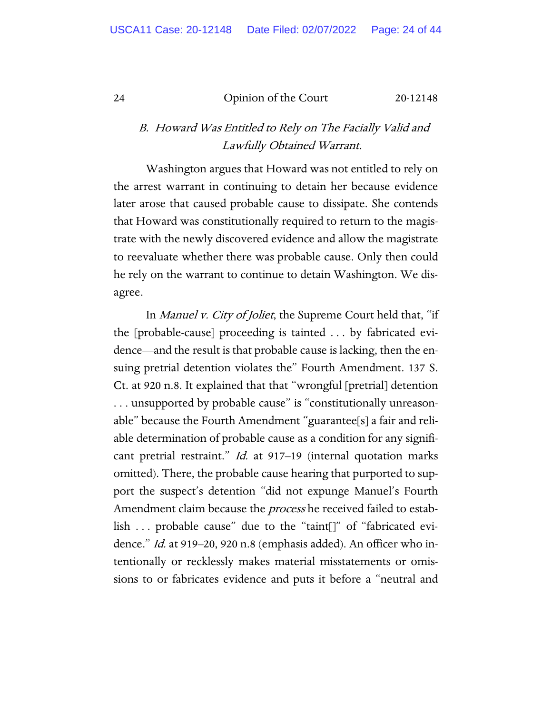## B. Howard Was Entitled to Rely on The Facially Valid and Lawfully Obtained Warrant.

Washington argues that Howard was not entitled to rely on the arrest warrant in continuing to detain her because evidence later arose that caused probable cause to dissipate. She contends that Howard was constitutionally required to return to the magistrate with the newly discovered evidence and allow the magistrate to reevaluate whether there was probable cause. Only then could he rely on the warrant to continue to detain Washington. We disagree.

In Manuel v. City of Joliet, the Supreme Court held that, "if the [probable-cause] proceeding is tainted . . . by fabricated evidence—and the result is that probable cause is lacking, then the ensuing pretrial detention violates the" Fourth Amendment. 137 S. Ct. at 920 n.8. It explained that that "wrongful [pretrial] detention . . . unsupported by probable cause" is "constitutionally unreasonable" because the Fourth Amendment "guarantee[s] a fair and reliable determination of probable cause as a condition for any significant pretrial restraint." Id. at 917–19 (internal quotation marks omitted). There, the probable cause hearing that purported to support the suspect's detention "did not expunge Manuel's Fourth Amendment claim because the *process* he received failed to establish . . . probable cause" due to the "taint[]" of "fabricated evidence." Id. at 919–20, 920 n.8 (emphasis added). An officer who intentionally or recklessly makes material misstatements or omissions to or fabricates evidence and puts it before a "neutral and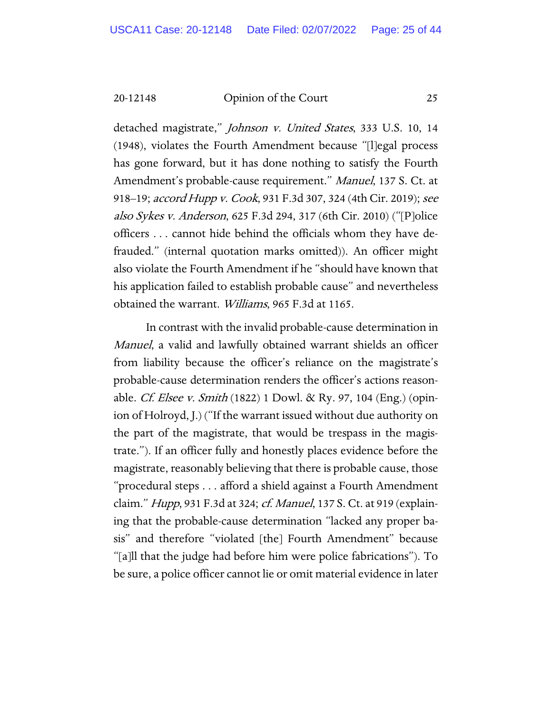detached magistrate," Johnson v. United States, 333 U.S. 10, 14 (1948), violates the Fourth Amendment because "[l]egal process has gone forward, but it has done nothing to satisfy the Fourth Amendment's probable-cause requirement." Manuel, 137 S. Ct. at 918–19; accord Hupp v. Cook, 931 F.3d 307, 324 (4th Cir. 2019); see also Sykes v. Anderson, 625 F.3d 294, 317 (6th Cir. 2010) ("[P]olice officers . . . cannot hide behind the officials whom they have defrauded." (internal quotation marks omitted)). An officer might also violate the Fourth Amendment if he "should have known that his application failed to establish probable cause" and nevertheless obtained the warrant. Williams, 965 F.3d at 1165.

In contrast with the invalid probable-cause determination in Manuel, a valid and lawfully obtained warrant shields an officer from liability because the officer's reliance on the magistrate's probable-cause determination renders the officer's actions reasonable. *Cf. Elsee v. Smith* (1822) 1 Dowl. & Ry. 97, 104 (Eng.) (opinion of Holroyd, J.) ("If the warrant issued without due authority on the part of the magistrate, that would be trespass in the magistrate."). If an officer fully and honestly places evidence before the magistrate, reasonably believing that there is probable cause, those "procedural steps . . . afford a shield against a Fourth Amendment claim." *Hupp*, 931 F.3d at 324; *cf. Manuel*, 137 S. Ct. at 919 (explaining that the probable-cause determination "lacked any proper basis" and therefore "violated [the] Fourth Amendment" because "[a]ll that the judge had before him were police fabrications"). To be sure, a police officer cannot lie or omit material evidence in later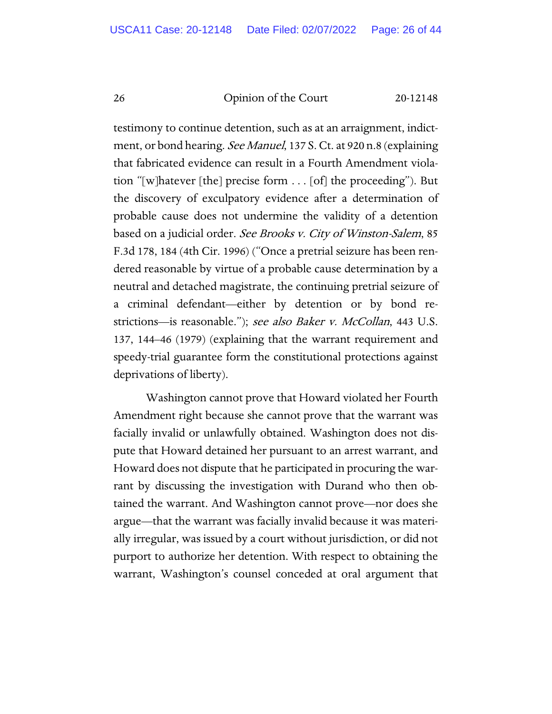testimony to continue detention, such as at an arraignment, indictment, or bond hearing. See Manuel, 137 S. Ct. at 920 n.8 (explaining that fabricated evidence can result in a Fourth Amendment violation "[w]hatever [the] precise form . . . [of] the proceeding"). But the discovery of exculpatory evidence after a determination of probable cause does not undermine the validity of a detention based on a judicial order. See Brooks v. City of Winston-Salem, 85 F.3d 178, 184 (4th Cir. 1996) ("Once a pretrial seizure has been rendered reasonable by virtue of a probable cause determination by a neutral and detached magistrate, the continuing pretrial seizure of a criminal defendant—either by detention or by bond restrictions—is reasonable."); see also Baker v. McCollan, 443 U.S. 137, 144–46 (1979) (explaining that the warrant requirement and speedy-trial guarantee form the constitutional protections against deprivations of liberty).

Washington cannot prove that Howard violated her Fourth Amendment right because she cannot prove that the warrant was facially invalid or unlawfully obtained. Washington does not dispute that Howard detained her pursuant to an arrest warrant, and Howard does not dispute that he participated in procuring the warrant by discussing the investigation with Durand who then obtained the warrant. And Washington cannot prove—nor does she argue—that the warrant was facially invalid because it was materially irregular, was issued by a court without jurisdiction, or did not purport to authorize her detention. With respect to obtaining the warrant, Washington's counsel conceded at oral argument that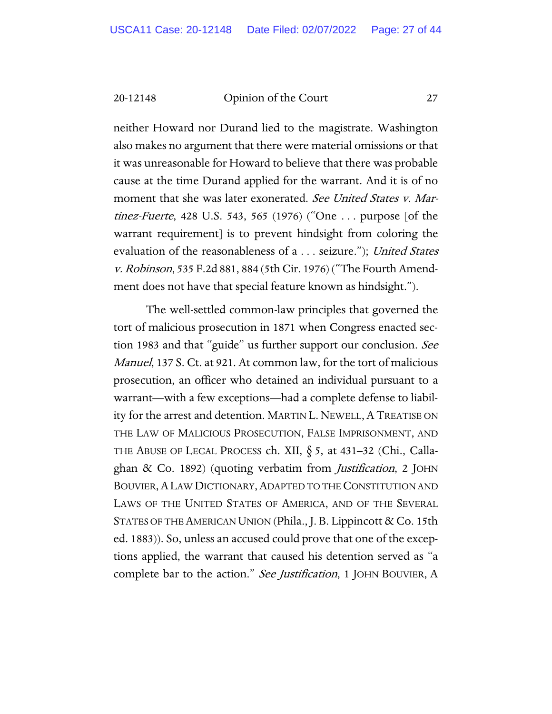neither Howard nor Durand lied to the magistrate. Washington also makes no argument that there were material omissions or that it was unreasonable for Howard to believe that there was probable cause at the time Durand applied for the warrant. And it is of no moment that she was later exonerated. See United States v. Martinez-Fuerte, 428 U.S. 543, 565 (1976) ("One . . . purpose [of the warrant requirement] is to prevent hindsight from coloring the evaluation of the reasonableness of a . . . seizure."); United States v. Robinson, 535 F.2d 881, 884 (5th Cir. 1976) ("The Fourth Amendment does not have that special feature known as hindsight.").

The well-settled common-law principles that governed the tort of malicious prosecution in 1871 when Congress enacted section 1983 and that "guide" us further support our conclusion. See Manuel, 137 S. Ct. at 921. At common law, for the tort of malicious prosecution, an officer who detained an individual pursuant to a warrant—with a few exceptions—had a complete defense to liability for the arrest and detention. MARTIN L. NEWELL,A TREATISE ON THE LAW OF MALICIOUS PROSECUTION, FALSE IMPRISONMENT, AND THE ABUSE OF LEGAL PROCESS ch. XII,  $\S$  5, at 431–32 (Chi., Callaghan & Co. 1892) (quoting verbatim from *Justification*, 2 JOHN BOUVIER,ALAW DICTIONARY,ADAPTED TO THE CONSTITUTION AND LAWS OF THE UNITED STATES OF AMERICA, AND OF THE SEVERAL STATES OF THE AMERICAN UNION (Phila., J. B. Lippincott & Co. 15th ed. 1883)). So, unless an accused could prove that one of the exceptions applied, the warrant that caused his detention served as "a complete bar to the action." See Justification, 1 JOHN BOUVIER, A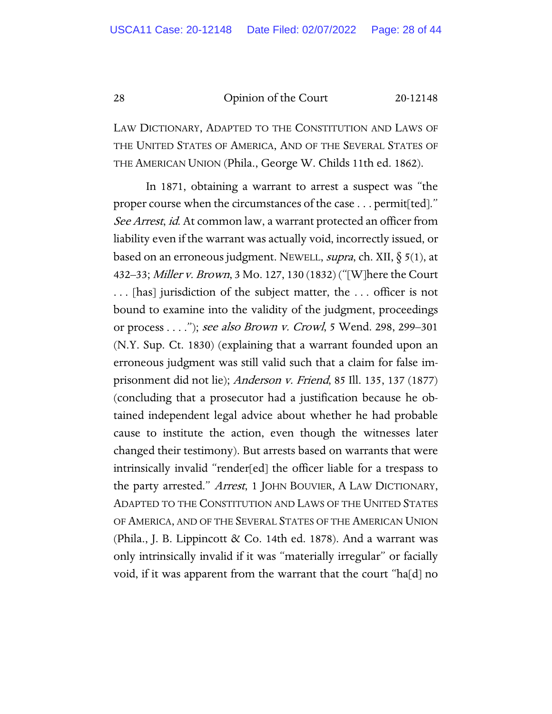LAW DICTIONARY, ADAPTED TO THE CONSTITUTION AND LAWS OF THE UNITED STATES OF AMERICA, AND OF THE SEVERAL STATES OF THE AMERICAN UNION (Phila., George W. Childs 11th ed. 1862).

In 1871, obtaining a warrant to arrest a suspect was "the proper course when the circumstances of the case . . . permit[ted]." See Arrest, id. At common law, a warrant protected an officer from liability even if the warrant was actually void, incorrectly issued, or based on an erroneous judgment. NEWELL, *supra*, ch. XII,  $\S$  5(1), at 432–33; Miller v. Brown, 3 Mo. 127, 130 (1832) ("[W]here the Court . . . [has] jurisdiction of the subject matter, the . . . officer is not bound to examine into the validity of the judgment, proceedings or process . . . ."); see also Brown v. Crowl, 5 Wend. 298, 299–301 (N.Y. Sup. Ct. 1830) (explaining that a warrant founded upon an erroneous judgment was still valid such that a claim for false imprisonment did not lie); Anderson v. Friend, 85 Ill. 135, 137 (1877) (concluding that a prosecutor had a justification because he obtained independent legal advice about whether he had probable cause to institute the action, even though the witnesses later changed their testimony). But arrests based on warrants that were intrinsically invalid "render[ed] the officer liable for a trespass to the party arrested." Arrest, 1 JOHN BOUVIER, A LAW DICTIONARY, ADAPTED TO THE CONSTITUTION AND LAWS OF THE UNITED STATES OF AMERICA, AND OF THE SEVERAL STATES OF THE AMERICAN UNION (Phila., J. B. Lippincott & Co. 14th ed. 1878). And a warrant was only intrinsically invalid if it was "materially irregular" or facially void, if it was apparent from the warrant that the court "ha[d] no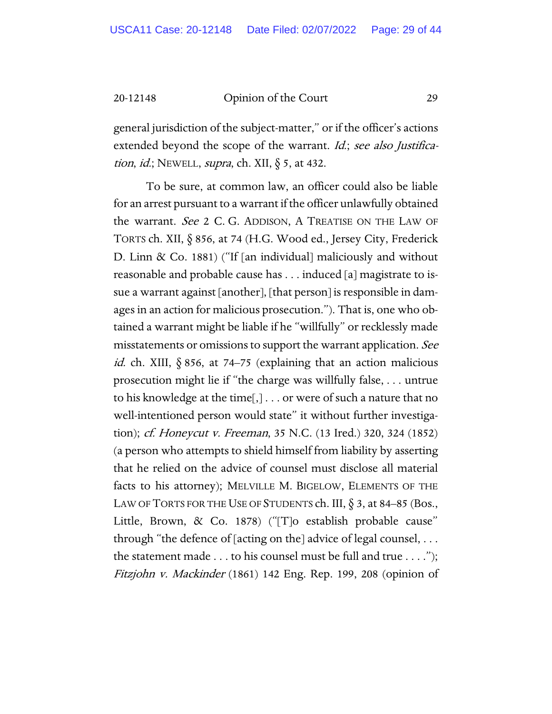general jurisdiction of the subject-matter," or if the officer's actions extended beyond the scope of the warrant. Id.; see also Justification, id.; NEWELL, supra, ch. XII,  $\S$  5, at 432.

To be sure, at common law, an officer could also be liable for an arrest pursuant to a warrant if the officer unlawfully obtained the warrant. See 2 C. G. ADDISON, A TREATISE ON THE LAW OF TORTS ch. XII, § 856, at 74 (H.G. Wood ed., Jersey City, Frederick D. Linn & Co. 1881) ("If [an individual] maliciously and without reasonable and probable cause has . . . induced [a] magistrate to issue a warrant against [another], [that person] is responsible in damages in an action for malicious prosecution."). That is, one who obtained a warrant might be liable if he "willfully" or recklessly made misstatements or omissions to support the warrant application. See *id.* ch. XIII,  $\S 856$ , at 74–75 (explaining that an action malicious prosecution might lie if "the charge was willfully false, . . . untrue to his knowledge at the time[,] . . . or were of such a nature that no well-intentioned person would state" it without further investigation); cf. Honeycut v. Freeman, 35 N.C. (13 Ired.) 320, 324 (1852) (a person who attempts to shield himself from liability by asserting that he relied on the advice of counsel must disclose all material facts to his attorney); MELVILLE M. BIGELOW, ELEMENTS OF THE LAW OF TORTS FOR THE USE OF STUDENTS ch. III,  $\S$  3, at 84–85 (Bos., Little, Brown, & Co. 1878) ("[T]o establish probable cause" through "the defence of [acting on the] advice of legal counsel, . . . the statement made  $\dots$  to his counsel must be full and true  $\dots$ ."); Fitzjohn v. Mackinder (1861) 142 Eng. Rep. 199, 208 (opinion of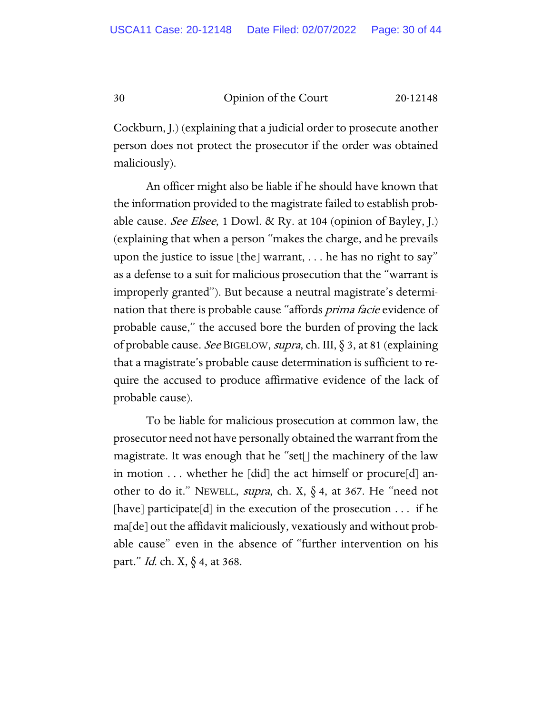Cockburn, J.) (explaining that a judicial order to prosecute another person does not protect the prosecutor if the order was obtained maliciously).

An officer might also be liable if he should have known that the information provided to the magistrate failed to establish probable cause. *See Elsee*, 1 Dowl.  $\&$  Ry. at 104 (opinion of Bayley, J.) (explaining that when a person "makes the charge, and he prevails upon the justice to issue [the] warrant, . . . he has no right to say" as a defense to a suit for malicious prosecution that the "warrant is improperly granted"). But because a neutral magistrate's determination that there is probable cause "affords *prima facie* evidence of probable cause," the accused bore the burden of proving the lack of probable cause. See BIGELOW, supra, ch. III,  $\S$  3, at 81 (explaining that a magistrate's probable cause determination is sufficient to require the accused to produce affirmative evidence of the lack of probable cause).

To be liable for malicious prosecution at common law, the prosecutor need not have personally obtained the warrant from the magistrate. It was enough that he "set[] the machinery of the law in motion . . . whether he [did] the act himself or procure[d] another to do it." NEWELL, supra, ch. X, § 4, at 367. He "need not [have] participate[d] in the execution of the prosecution  $\dots$  if he ma[de] out the affidavit maliciously, vexatiously and without probable cause" even in the absence of "further intervention on his part." Id. ch. X, § 4, at 368.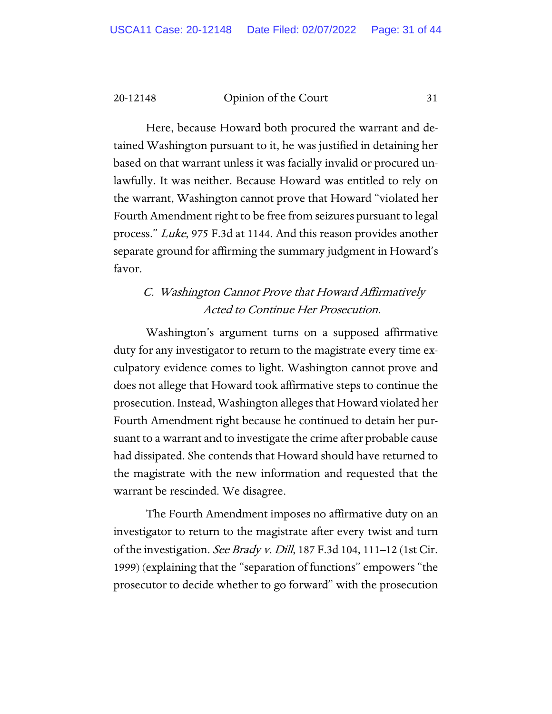Here, because Howard both procured the warrant and detained Washington pursuant to it, he was justified in detaining her based on that warrant unless it was facially invalid or procured unlawfully. It was neither. Because Howard was entitled to rely on the warrant, Washington cannot prove that Howard "violated her Fourth Amendment right to be free from seizures pursuant to legal process." Luke, 975 F.3d at 1144. And this reason provides another separate ground for affirming the summary judgment in Howard's favor.

## C. Washington Cannot Prove that Howard Affirmatively Acted to Continue Her Prosecution.

Washington's argument turns on a supposed affirmative duty for any investigator to return to the magistrate every time exculpatory evidence comes to light. Washington cannot prove and does not allege that Howard took affirmative steps to continue the prosecution. Instead, Washington alleges that Howard violated her Fourth Amendment right because he continued to detain her pursuant to a warrant and to investigate the crime after probable cause had dissipated. She contends that Howard should have returned to the magistrate with the new information and requested that the warrant be rescinded. We disagree.

The Fourth Amendment imposes no affirmative duty on an investigator to return to the magistrate after every twist and turn of the investigation. See Brady v. Dill, 187 F.3d 104, 111–12 (1st Cir. 1999) (explaining that the "separation of functions" empowers "the prosecutor to decide whether to go forward" with the prosecution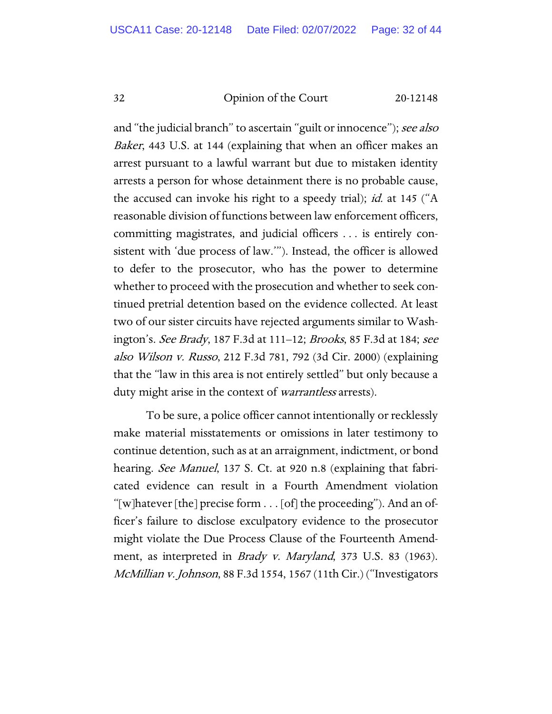and "the judicial branch" to ascertain "guilt or innocence"); see also Baker, 443 U.S. at 144 (explaining that when an officer makes an arrest pursuant to a lawful warrant but due to mistaken identity arrests a person for whose detainment there is no probable cause, the accused can invoke his right to a speedy trial); *id.* at 145 ("A reasonable division of functions between law enforcement officers, committing magistrates, and judicial officers . . . is entirely consistent with 'due process of law.'"). Instead, the officer is allowed to defer to the prosecutor, who has the power to determine whether to proceed with the prosecution and whether to seek continued pretrial detention based on the evidence collected. At least two of our sister circuits have rejected arguments similar to Washington's. See Brady, 187 F.3d at 111–12; Brooks, 85 F.3d at 184; see also Wilson v. Russo, 212 F.3d 781, 792 (3d Cir. 2000) (explaining that the "law in this area is not entirely settled" but only because a duty might arise in the context of *warrantless* arrests).

To be sure, a police officer cannot intentionally or recklessly make material misstatements or omissions in later testimony to continue detention, such as at an arraignment, indictment, or bond hearing. *See Manuel*, 137 S. Ct. at 920 n.8 (explaining that fabricated evidence can result in a Fourth Amendment violation "[w]hatever [the] precise form . . . [of] the proceeding"). And an officer's failure to disclose exculpatory evidence to the prosecutor might violate the Due Process Clause of the Fourteenth Amendment, as interpreted in Brady v. Maryland, 373 U.S. 83 (1963). McMillian v. Johnson, 88 F.3d 1554, 1567 (11th Cir.) ("Investigators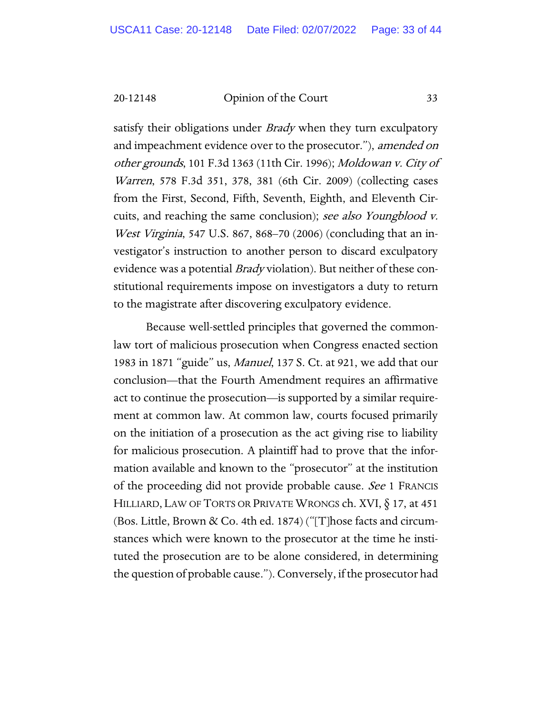satisfy their obligations under *Brady* when they turn exculpatory and impeachment evidence over to the prosecutor."), amended on other grounds, 101 F.3d 1363 (11th Cir. 1996); Moldowan v. City of Warren, 578 F.3d 351, 378, 381 (6th Cir. 2009) (collecting cases from the First, Second, Fifth, Seventh, Eighth, and Eleventh Circuits, and reaching the same conclusion); see also Youngblood v. West Virginia, 547 U.S. 867, 868–70 (2006) (concluding that an investigator's instruction to another person to discard exculpatory evidence was a potential *Brady* violation). But neither of these constitutional requirements impose on investigators a duty to return to the magistrate after discovering exculpatory evidence.

Because well-settled principles that governed the commonlaw tort of malicious prosecution when Congress enacted section 1983 in 1871 "guide" us, Manuel, 137 S. Ct. at 921, we add that our conclusion—that the Fourth Amendment requires an affirmative act to continue the prosecution—is supported by a similar requirement at common law. At common law, courts focused primarily on the initiation of a prosecution as the act giving rise to liability for malicious prosecution. A plaintiff had to prove that the information available and known to the "prosecutor" at the institution of the proceeding did not provide probable cause. See 1 FRANCIS HILLIARD, LAW OF TORTS OR PRIVATE WRONGS ch. XVI, § 17, at 451 (Bos. Little, Brown & Co. 4th ed. 1874) ("[T]hose facts and circumstances which were known to the prosecutor at the time he instituted the prosecution are to be alone considered, in determining the question of probable cause."). Conversely, if the prosecutor had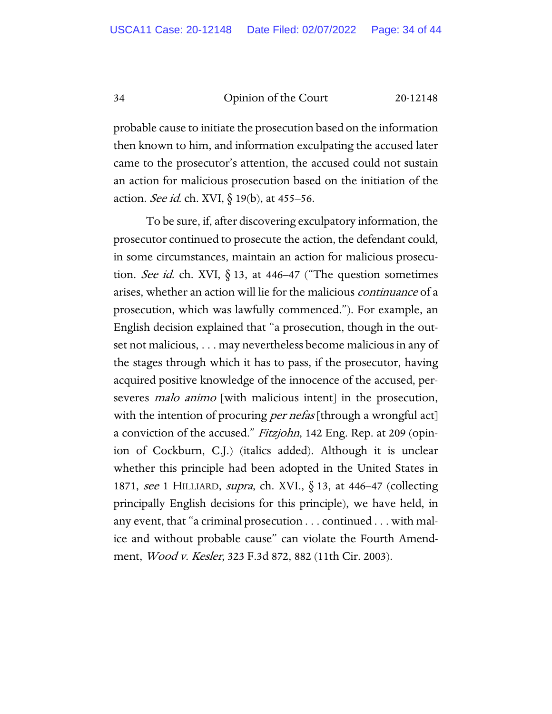probable cause to initiate the prosecution based on the information then known to him, and information exculpating the accused later came to the prosecutor's attention, the accused could not sustain an action for malicious prosecution based on the initiation of the action. See id. ch. XVI, § 19(b), at 455-56.

To be sure, if, after discovering exculpatory information, the prosecutor continued to prosecute the action, the defendant could, in some circumstances, maintain an action for malicious prosecution. See id. ch. XVI,  $\S$  13, at 446–47 ("The question sometimes arises, whether an action will lie for the malicious continuance of a prosecution, which was lawfully commenced."). For example, an English decision explained that "a prosecution, though in the outset not malicious, . . . may nevertheless become malicious in any of the stages through which it has to pass, if the prosecutor, having acquired positive knowledge of the innocence of the accused, perseveres *malo animo* [with malicious intent] in the prosecution, with the intention of procuring *per nefas* [through a wrongful act] a conviction of the accused." Fitzjohn, 142 Eng. Rep. at 209 (opinion of Cockburn, C.J.) (italics added). Although it is unclear whether this principle had been adopted in the United States in 1871, see 1 HILLIARD, supra, ch. XVI., § 13, at 446–47 (collecting principally English decisions for this principle), we have held, in any event, that "a criminal prosecution . . . continued . . . with malice and without probable cause" can violate the Fourth Amendment, Wood v. Kesler, 323 F.3d 872, 882 (11th Cir. 2003).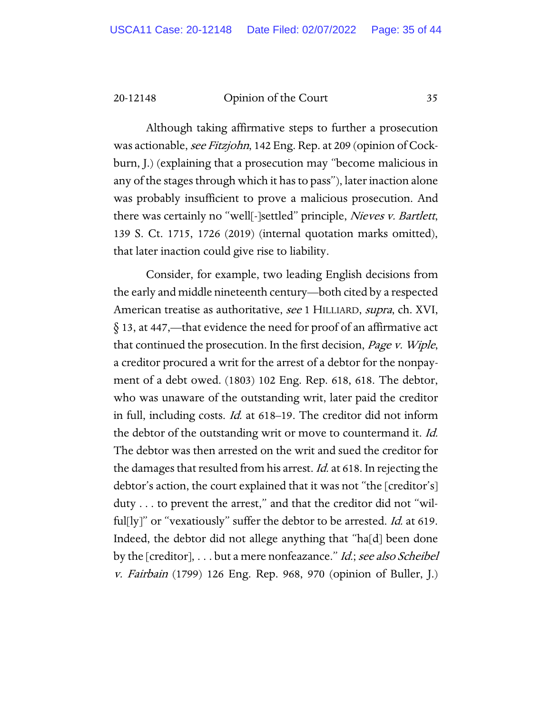Although taking affirmative steps to further a prosecution was actionable, see Fitzjohn, 142 Eng. Rep. at 209 (opinion of Cockburn, J.) (explaining that a prosecution may "become malicious in any of the stages through which it has to pass"), later inaction alone was probably insufficient to prove a malicious prosecution. And there was certainly no "well[-]settled" principle, Nieves v. Bartlett, 139 S. Ct. 1715, 1726 (2019) (internal quotation marks omitted), that later inaction could give rise to liability.

Consider, for example, two leading English decisions from the early and middle nineteenth century—both cited by a respected American treatise as authoritative, see 1 HILLIARD, supra, ch. XVI, § 13, at 447,—that evidence the need for proof of an affirmative act that continued the prosecution. In the first decision, *Page v. Wiple*, a creditor procured a writ for the arrest of a debtor for the nonpayment of a debt owed. (1803) 102 Eng. Rep. 618, 618. The debtor, who was unaware of the outstanding writ, later paid the creditor in full, including costs. Id. at 618–19. The creditor did not inform the debtor of the outstanding writ or move to countermand it. *Id.* The debtor was then arrested on the writ and sued the creditor for the damages that resulted from his arrest. *Id.* at 618. In rejecting the debtor's action, the court explained that it was not "the [creditor's] duty . . . to prevent the arrest," and that the creditor did not "wilful[ly]" or "vexatiously" suffer the debtor to be arrested. *Id.* at 619. Indeed, the debtor did not allege anything that "ha[d] been done by the [creditor], . . . but a mere nonfeazance." *Id.; see also Scheibel* v. Fairbain (1799) 126 Eng. Rep. 968, 970 (opinion of Buller, J.)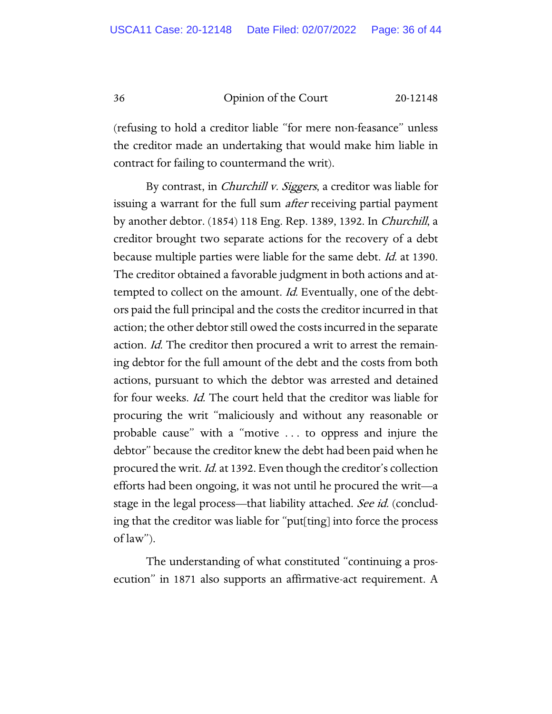(refusing to hold a creditor liable "for mere non-feasance" unless the creditor made an undertaking that would make him liable in contract for failing to countermand the writ).

By contrast, in *Churchill v. Siggers*, a creditor was liable for issuing a warrant for the full sum *after* receiving partial payment by another debtor. (1854) 118 Eng. Rep. 1389, 1392. In Churchill, a creditor brought two separate actions for the recovery of a debt because multiple parties were liable for the same debt. Id. at 1390. The creditor obtained a favorable judgment in both actions and attempted to collect on the amount. *Id.* Eventually, one of the debtors paid the full principal and the costs the creditor incurred in that action; the other debtor still owed the costs incurred in the separate action. *Id.* The creditor then procured a writ to arrest the remaining debtor for the full amount of the debt and the costs from both actions, pursuant to which the debtor was arrested and detained for four weeks. *Id.* The court held that the creditor was liable for procuring the writ "maliciously and without any reasonable or probable cause" with a "motive . . . to oppress and injure the debtor" because the creditor knew the debt had been paid when he procured the writ. Id. at 1392. Even though the creditor's collection efforts had been ongoing, it was not until he procured the writ—a stage in the legal process—that liability attached. See id. (concluding that the creditor was liable for "put[ting] into force the process of law").

The understanding of what constituted "continuing a prosecution" in 1871 also supports an affirmative-act requirement. A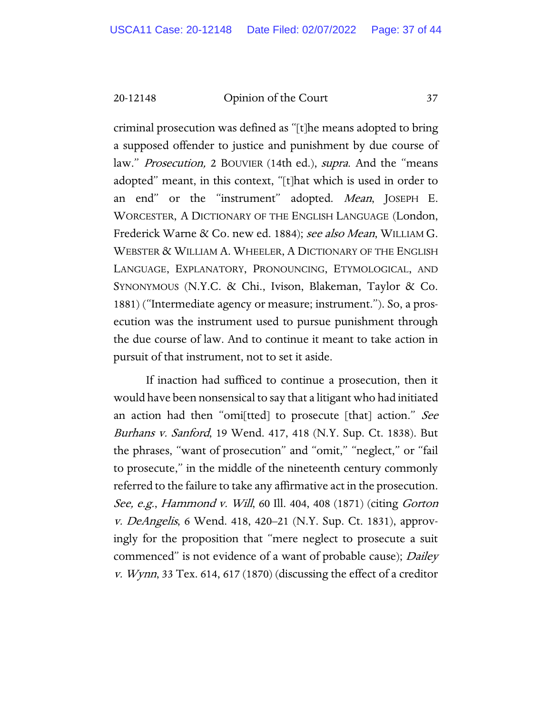criminal prosecution was defined as "[t]he means adopted to bring a supposed offender to justice and punishment by due course of law." *Prosecution*, 2 BOUVIER (14th ed.), *supra*. And the "means adopted" meant, in this context, "[t]hat which is used in order to an end" or the "instrument" adopted. Mean, JOSEPH E. WORCESTER, A DICTIONARY OF THE ENGLISH LANGUAGE (London, Frederick Warne & Co. new ed. 1884); see also Mean, WILLIAM G. WEBSTER & WILLIAM A. WHEELER, A DICTIONARY OF THE ENGLISH LANGUAGE, EXPLANATORY, PRONOUNCING, ETYMOLOGICAL, AND SYNONYMOUS (N.Y.C. & Chi., Ivison, Blakeman, Taylor & Co. 1881) ("Intermediate agency or measure; instrument."). So, a prosecution was the instrument used to pursue punishment through the due course of law. And to continue it meant to take action in pursuit of that instrument, not to set it aside.

If inaction had sufficed to continue a prosecution, then it would have been nonsensical to say that a litigant who had initiated an action had then "omi[tted] to prosecute [that] action." See Burhans v. Sanford, 19 Wend. 417, 418 (N.Y. Sup. Ct. 1838). But the phrases, "want of prosecution" and "omit," "neglect," or "fail to prosecute," in the middle of the nineteenth century commonly referred to the failure to take any affirmative act in the prosecution. See, e.g., Hammond v. Will, 60 Ill. 404, 408 (1871) (citing Gorton v. DeAngelis, 6 Wend. 418, 420–21 (N.Y. Sup. Ct. 1831), approvingly for the proposition that "mere neglect to prosecute a suit commenced" is not evidence of a want of probable cause); Dailey *v. Wynn*, 33 Tex. 614, 617 (1870) (discussing the effect of a creditor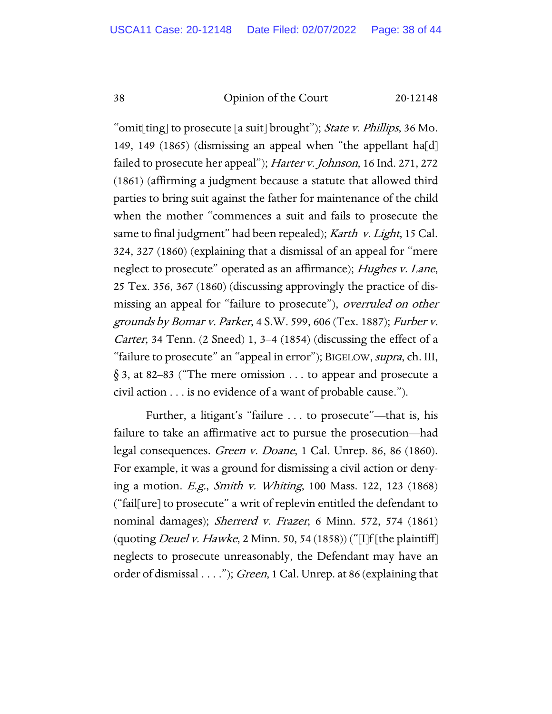"omit[ting] to prosecute [a suit] brought"); State v. Phillips, 36 Mo. 149, 149 (1865) (dismissing an appeal when "the appellant ha[d] failed to prosecute her appeal"); Harter v. Johnson, 16 Ind. 271, 272 (1861) (affirming a judgment because a statute that allowed third parties to bring suit against the father for maintenance of the child when the mother "commences a suit and fails to prosecute the same to final judgment" had been repealed); Karth v. Light, 15 Cal. 324, 327 (1860) (explaining that a dismissal of an appeal for "mere neglect to prosecute" operated as an affirmance); *Hughes v. Lane*, 25 Tex. 356, 367 (1860) (discussing approvingly the practice of dismissing an appeal for "failure to prosecute"), *overruled on other* grounds by Bomar v. Parker, 4 S.W. 599, 606 (Tex. 1887); Furber v. Carter, 34 Tenn. (2 Sneed) 1, 3–4 (1854) (discussing the effect of a "failure to prosecute" an "appeal in error"); BIGELOW, supra, ch. III, § 3, at 82–83 ("The mere omission . . . to appear and prosecute a civil action . . . is no evidence of a want of probable cause.").

Further, a litigant's "failure . . . to prosecute"—that is, his failure to take an affirmative act to pursue the prosecution—had legal consequences. Green v. Doane, 1 Cal. Unrep. 86, 86 (1860). For example, it was a ground for dismissing a civil action or denying a motion. E.g., Smith v. Whiting, 100 Mass. 122, 123 (1868) ("fail[ure] to prosecute" a writ of replevin entitled the defendant to nominal damages); Sherrerd v. Frazer, 6 Minn. 572, 574 (1861) (quoting *Deuel v. Hawke*, 2 Minn. 50, 54 (1858)) ("[I]f [the plaintiff] neglects to prosecute unreasonably, the Defendant may have an order of dismissal . . . ."); *Green*, 1 Cal. Unrep. at 86 (explaining that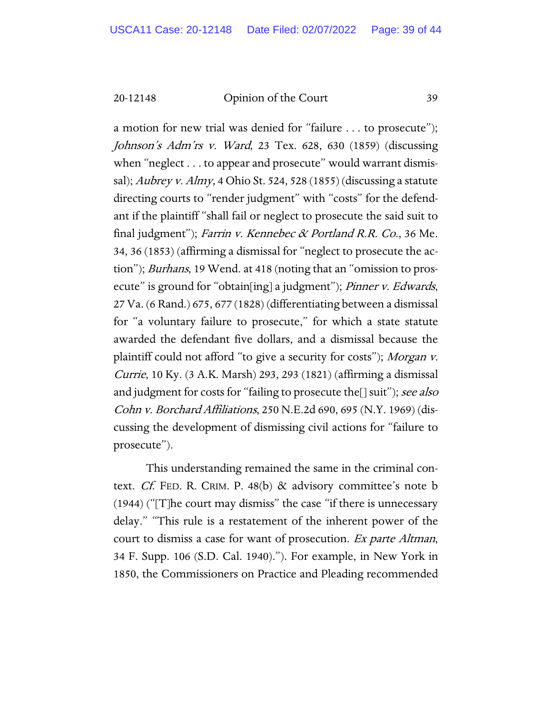a motion for new trial was denied for "failure . . . to prosecute"); Johnson's Adm'rs v. Ward, 23 Tex. 628, 630 (1859) (discussing when "neglect . . . to appear and prosecute" would warrant dismissal); Aubrey v. Almy, 4 Ohio St. 524, 528 (1855) (discussing a statute directing courts to "render judgment" with "costs" for the defendant if the plaintiff "shall fail or neglect to prosecute the said suit to final judgment"); Farrin v. Kennebec & Portland R.R. Co., 36 Me. 34, 36 (1853) (affirming a dismissal for "neglect to prosecute the action"); Burhans, 19 Wend. at 418 (noting that an "omission to prosecute" is ground for "obtain[ing] a judgment"); *Pinner v. Edwards*, 27 Va. (6 Rand.) 675, 677 (1828) (differentiating between a dismissal for "a voluntary failure to prosecute," for which a state statute awarded the defendant five dollars, and a dismissal because the plaintiff could not afford "to give a security for costs"); Morgan v. Currie, 10 Ky. (3 A.K. Marsh) 293, 293 (1821) (affirming a dismissal and judgment for costs for "failing to prosecute the[] suit"); see also Cohn v. Borchard Affiliations, 250 N.E.2d 690, 695 (N.Y. 1969) (discussing the development of dismissing civil actions for "failure to prosecute").

This understanding remained the same in the criminal context. Cf. FED. R. CRIM. P. 48(b) & advisory committee's note b (1944) ("[T]he court may dismiss" the case "if there is unnecessary delay." "This rule is a restatement of the inherent power of the court to dismiss a case for want of prosecution. Ex parte Altman, 34 F. Supp. 106 (S.D. Cal. 1940)."). For example, in New York in 1850, the Commissioners on Practice and Pleading recommended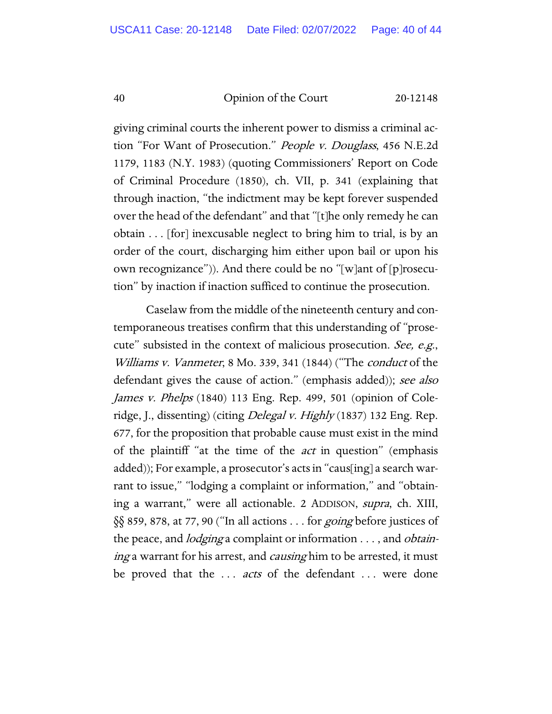giving criminal courts the inherent power to dismiss a criminal action "For Want of Prosecution." *People v. Douglass*, 456 N.E.2d 1179, 1183 (N.Y. 1983) (quoting Commissioners' Report on Code of Criminal Procedure (1850), ch. VII, p. 341 (explaining that through inaction, "the indictment may be kept forever suspended over the head of the defendant" and that "[t]he only remedy he can obtain . . . [for] inexcusable neglect to bring him to trial, is by an order of the court, discharging him either upon bail or upon his own recognizance")). And there could be no "[w]ant of [p]rosecution" by inaction if inaction sufficed to continue the prosecution.

Caselaw from the middle of the nineteenth century and contemporaneous treatises confirm that this understanding of "prosecute" subsisted in the context of malicious prosecution. See, e.g., Williams v. Vanmeter, 8 Mo. 339, 341 (1844) ("The conduct of the defendant gives the cause of action." (emphasis added)); see also James v. Phelps (1840) 113 Eng. Rep. 499, 501 (opinion of Coleridge, J., dissenting) (citing *Delegal v. Highly* (1837) 132 Eng. Rep. 677, for the proposition that probable cause must exist in the mind of the plaintiff "at the time of the act in question" (emphasis added)); For example, a prosecutor's acts in "caus[ing] a search warrant to issue," "lodging a complaint or information," and "obtaining a warrant," were all actionable. 2 ADDISON, supra, ch. XIII, §§ 859, 878, at 77, 90 ("In all actions . . . for going before justices of the peace, and *lodging* a complaint or information . . . , and *obtain*ing a warrant for his arrest, and *causing* him to be arrested, it must be proved that the ... *acts* of the defendant ... were done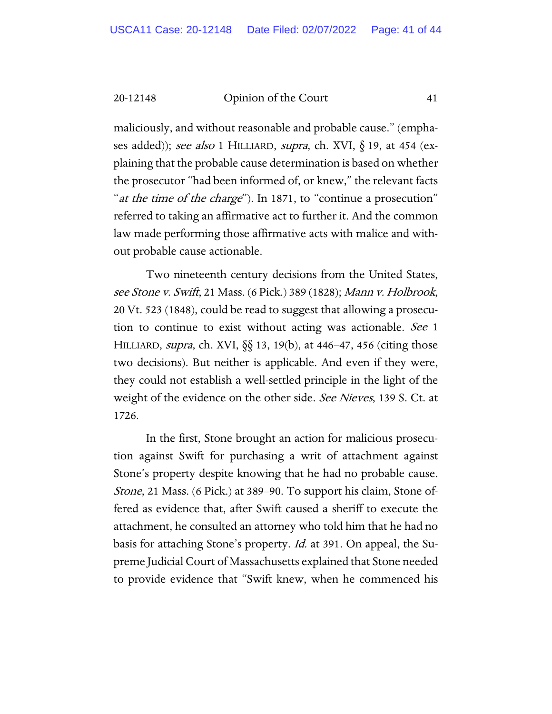maliciously, and without reasonable and probable cause." (emphases added)); see also 1 HILLIARD, supra, ch. XVI,  $\S$  19, at 454 (explaining that the probable cause determination is based on whether the prosecutor "had been informed of, or knew," the relevant facts " at the time of the charge"). In 1871, to "continue a prosecution" referred to taking an affirmative act to further it. And the common law made performing those affirmative acts with malice and without probable cause actionable.

Two nineteenth century decisions from the United States, see Stone v. Swift, 21 Mass. (6 Pick.) 389 (1828); Mann v. Holbrook, 20 Vt. 523 (1848), could be read to suggest that allowing a prosecution to continue to exist without acting was actionable. See 1 HILLIARD, supra, ch. XVI, §§ 13, 19(b), at 446–47, 456 (citing those two decisions). But neither is applicable. And even if they were, they could not establish a well-settled principle in the light of the weight of the evidence on the other side. See Nieves, 139 S. Ct. at 1726.

In the first, Stone brought an action for malicious prosecution against Swift for purchasing a writ of attachment against Stone's property despite knowing that he had no probable cause. Stone, 21 Mass. (6 Pick.) at 389–90. To support his claim, Stone offered as evidence that, after Swift caused a sheriff to execute the attachment, he consulted an attorney who told him that he had no basis for attaching Stone's property. Id. at 391. On appeal, the Supreme Judicial Court of Massachusetts explained that Stone needed to provide evidence that "Swift knew, when he commenced his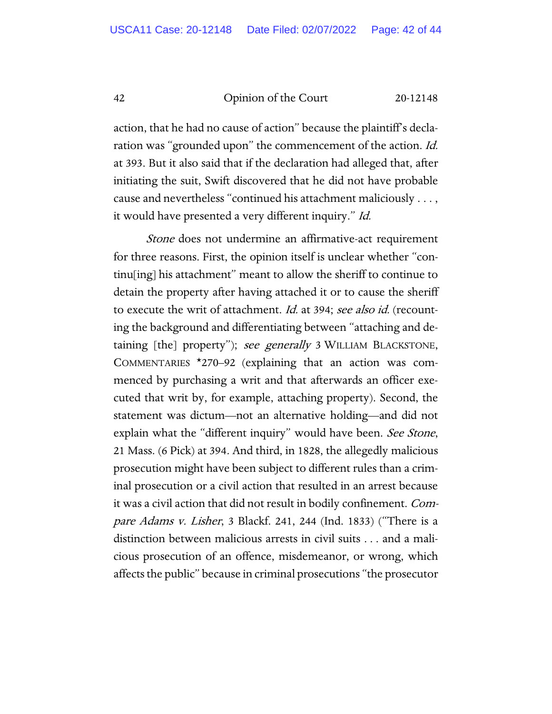action, that he had no cause of action" because the plaintiff's declaration was "grounded upon" the commencement of the action. *Id.* at 393. But it also said that if the declaration had alleged that, after initiating the suit, Swift discovered that he did not have probable cause and nevertheless "continued his attachment maliciously . . . , it would have presented a very different inquiry." Id.

Stone does not undermine an affirmative-act requirement for three reasons. First, the opinion itself is unclear whether "continu[ing] his attachment" meant to allow the sheriff to continue to detain the property after having attached it or to cause the sheriff to execute the writ of attachment. *Id.* at 394; see also id. (recounting the background and differentiating between "attaching and detaining [the] property"); see generally 3 WILLIAM BLACKSTONE, COMMENTARIES \*270–92 (explaining that an action was commenced by purchasing a writ and that afterwards an officer executed that writ by, for example, attaching property). Second, the statement was dictum—not an alternative holding—and did not explain what the "different inquiry" would have been. See Stone, 21 Mass. (6 Pick) at 394. And third, in 1828, the allegedly malicious prosecution might have been subject to different rules than a criminal prosecution or a civil action that resulted in an arrest because it was a civil action that did not result in bodily confinement. Compare Adams v. Lisher, 3 Blackf. 241, 244 (Ind. 1833) ("There is a distinction between malicious arrests in civil suits . . . and a malicious prosecution of an offence, misdemeanor, or wrong, which affects the public" because in criminal prosecutions "the prosecutor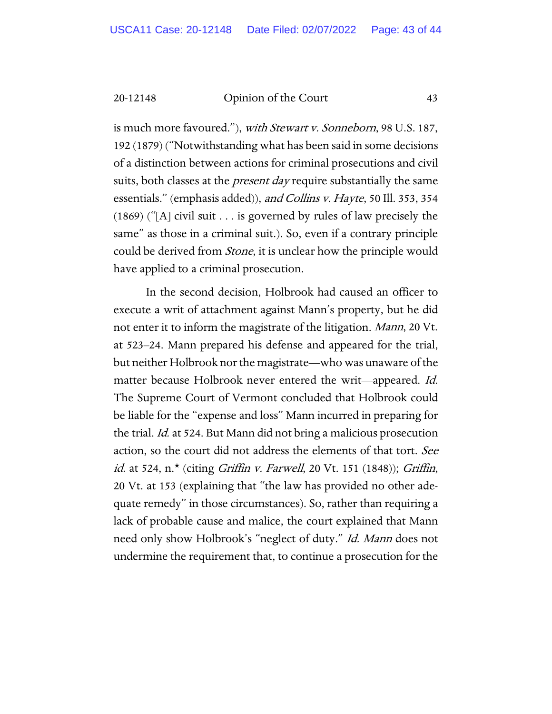is much more favoured."), with Stewart v. Sonneborn, 98 U.S. 187, 192 (1879) ("Notwithstanding what has been said in some decisions of a distinction between actions for criminal prosecutions and civil suits, both classes at the *present day* require substantially the same essentials." (emphasis added)), and Collins v. Hayte, 50 Ill. 353, 354 (1869) ("[A] civil suit . . . is governed by rules of law precisely the same" as those in a criminal suit.). So, even if a contrary principle could be derived from *Stone*, it is unclear how the principle would have applied to a criminal prosecution.

In the second decision, Holbrook had caused an officer to execute a writ of attachment against Mann's property, but he did not enter it to inform the magistrate of the litigation. Mann, 20 Vt. at 523–24. Mann prepared his defense and appeared for the trial, but neither Holbrook nor the magistrate—who was unaware of the matter because Holbrook never entered the writ—appeared. *Id.* The Supreme Court of Vermont concluded that Holbrook could be liable for the "expense and loss" Mann incurred in preparing for the trial. *Id.* at 524. But Mann did not bring a malicious prosecution action, so the court did not address the elements of that tort. See id. at 524, n.\* (citing Griffin v. Farwell, 20 Vt. 151 (1848)); Griffin, 20 Vt. at 153 (explaining that "the law has provided no other adequate remedy" in those circumstances). So, rather than requiring a lack of probable cause and malice, the court explained that Mann need only show Holbrook's "neglect of duty." Id. Mann does not undermine the requirement that, to continue a prosecution for the